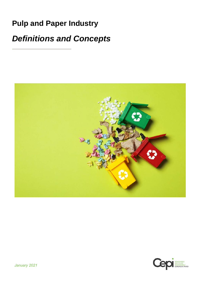**Pulp and Paper Industry** 

# *Definitions and Concepts*





*January 2021*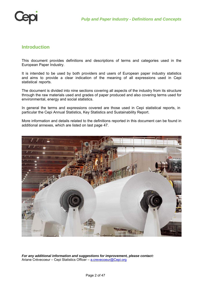

### **Introduction**

This document provides definitions and descriptions of terms and categories used in the European Paper Industry.

It is intended to be used by both providers and users of European paper industry statistics and aims to provide a clear indication of the meaning of all expressions used in Cepi statistical reports.

The document is divided into nine sections covering all aspects of the industry from its structure through the raw materials used and grades of paper produced and also covering terms used for environmental, energy and social statistics.

In general the terms and expressions covered are those used in Cepi statistical reports, in particular the Cepi Annual Statistics, Key Statistics and Sustainability Report.

More information and details related to the definitions reported in this document can be found in additional annexes, which are listed on last page 47.



*For any additional information and suggestions for improvement, please contact:*  Ariane Crèvecoeur – Cepi Statistics Officer – a.crevecoeur@Cepi.org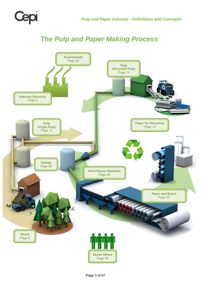# *The Pulp and Paper Making Process*

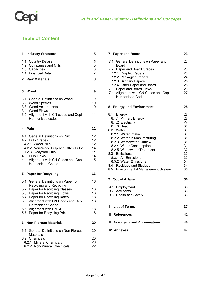![](_page_3_Picture_0.jpeg)

# **Table of Content**

| <b>Industry Structure</b><br>1                                                                                                                                                                                                                                                                               | 5                                      |
|--------------------------------------------------------------------------------------------------------------------------------------------------------------------------------------------------------------------------------------------------------------------------------------------------------------|----------------------------------------|
| 1.1 Country Details<br>1.2 Companies and Mills<br>1.3 Capacities<br>1.4 Financial Data                                                                                                                                                                                                                       | 5<br>5<br>6<br>$\overline{7}$          |
| 2 Raw Materials                                                                                                                                                                                                                                                                                              | 8                                      |
|                                                                                                                                                                                                                                                                                                              |                                        |
| 3 Wood                                                                                                                                                                                                                                                                                                       | 9                                      |
| 3.1 General Definitions on Wood<br>3.2 Wood Species<br>3.3 Wood Assortments<br>3.4 Wood Flows<br>3.5 Alignment with CN codes and Cepi<br>Harmonised codes                                                                                                                                                    | 9<br>10<br>10<br>11<br>11              |
| 4 Pulp                                                                                                                                                                                                                                                                                                       | 12                                     |
| 4.1 General Definitions on Pulp<br>4.2 Pulp Grades<br>4.2.1 Wood Pulp<br>4.2.2 Non-Wood Pulp and Other Pulps<br>4.2.3 Recycled Pulp<br>4.3 Pulp Flows<br>4.4 Alignment with CN Codes and Cepi<br><b>Harmonised Codes</b>                                                                                     | 12<br>12<br>12<br>14<br>14<br>14<br>15 |
| 5<br><b>Paper for Recycling</b>                                                                                                                                                                                                                                                                              | 16                                     |
| 5.1<br>General Definitions on Paper for<br>Recycling and Recycling<br>5.2 Paper for Recycling Classes<br>5.3 Paper for Recycling Flows<br>5.4 Paper for Recycling Rates<br>Alignment with CN Codes and Cepi<br>5.5<br><b>Harmonised Codes</b><br>5.6 Alignment with EN 643<br>5.7 Paper for Recycling Prices | 16<br>16<br>16<br>18<br>18<br>18<br>18 |
| <b>Non-Fibrous Materials</b><br>6                                                                                                                                                                                                                                                                            | 20                                     |
| <b>General Definitions on Non-Fibrous</b><br>6.1<br><b>Materials</b>                                                                                                                                                                                                                                         | 20                                     |
| 6.2 Chemicals<br>6.2.1 Mineral Chemicals<br>6.2.2 Non-Mineral Chemicals                                                                                                                                                                                                                                      | 20<br>20<br>22                         |

| 7 Paper and Board                                               | 23       |
|-----------------------------------------------------------------|----------|
| 7.1 General Definitions on Paper and<br>Board                   | 23       |
| 7.2 Paper and Board Grades                                      | 23       |
| 7.2.1 Graphic Papers                                            | 23       |
| 7.2.2 Packaging Papers                                          | 24       |
| 7.2.3 Sanitary Papers<br>7.2.4 Other Paper and Board            | 25<br>25 |
| 7.3 Paper and Board Flows                                       | 26       |
| 7.4 Alignment with CN Codes and Cepi                            | 27       |
| <b>Harmonised Codes</b>                                         |          |
| 8 Energy and Environment                                        | 28       |
| 8.1 Energy                                                      | 28       |
| 8.1.1 Primary Energy<br>8.1.2 Electricity                       | 28       |
| 8.1.3 Heat                                                      | 29<br>30 |
| 8.2 Water                                                       | 30       |
| 8.2.1 Water Intake                                              | 30       |
| 8.2.2 Water in Manufacturing                                    | 31       |
| 8.2.3 Wastewater Outflow<br>8.2.4 Water Consumption             | 31<br>31 |
| 8.2.5 Wastewater Treatment                                      | 32       |
| 8.3 Emissions                                                   | 32       |
| 8.3.1 Air Emissions                                             | 32       |
| 8.3.2 Water Emissions                                           | 34       |
| 8.4 Residues and Sludges<br>8.5 Environmental Management System | 34<br>35 |
|                                                                 |          |
| 9 Social Affairs                                                | 36       |
| 9.1 Employment                                                  | 36       |
| 9.2 Accidents                                                   | 36       |
| 9.3 Health and Safety                                           | 36       |
| <b>List of Terms</b><br>L                                       | 37       |
| Ш<br><b>References</b>                                          | 41       |
| <b>III Acronyms and Abbreviations</b>                           | 45       |
| <b>IV Annexes</b>                                               | 47       |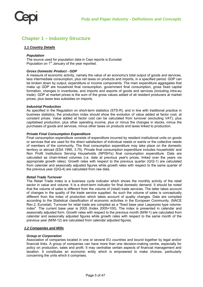![](_page_4_Picture_0.jpeg)

# **Chapter 1 – Industry Structure**

#### *1.1 Country Details*

#### *Population*

The source used for population data in Cepi reports is Eurostat. Population on 1<sup>st</sup> January of the year reported.

#### *Gross Domestic Product - GDP*

A measure of economic activity, namely the value of an economy's total output of goods and services, less intermediate consumption, plus net taxes on products and imports, in a specified period. GDP can be broken down by output, expenditure or income components. The main expenditure aggregates that make up GDP are household final consumption, government final consumption, gross fixed capital formation, changes in inventories, and imports and exports of goods and services (including intra-eu trade). GDP at market prices is the sum of the gross values added of all resident producers at market prices, plus taxes less subsidies on imports.

#### *Industrial Production*

As specified in the Regulation on short-term statistics (STS-R), and in line with traditional practice in business statistics, the production index should show the evolution of value added at factor cost, at constant prices. Value added at factor cost can be calculated from turnover (excluding VAT), plus capitalised production, plus other operating income, plus or minus the changes in stocks, minus the purchases of goods and services, minus other taxes on products and taxes linked to production.

#### *Private Final Consumption Expenditure*

Final consumption expenditure consists of expenditure incurred by resident institutional units on goods or services that are used for the direct satisfaction of individual needs or wants or the collective needs of members of the community. The final consumption expenditure may take place on the domestic territory or abroad (ESA 1995, 3.75). Private final consumption expenditure includes households' and Non Profit Institutions Serving Households (NPISH's) final consumption expenditure. Data are calculated as chain-linked volumes (i.e. data at previous year's prices, linked over the years via appropriate growth rates). Growth rates with respect to the previous quarter (Q/Q-1) are calculated from calendar and seasonally adjusted figures while growth rates with respect to the same quarter of the previous year (Q/Q-4) are calculated from raw data.

#### *Retail Trade Turnover*

The Retail Trade Index is a business cycle indicator which shows the monthly activity of the retail sector in value and volume. It is a short-term indicator for final domestic demand. It should be noted that the volume of sales is different from the volume of (retail) trade services. The latter takes account of changes in the quality of the trade service supplied. As such the volume of sales is conceptually different from the index of production which takes account of quality changes. Data are compiled according to the Statistical classification of economic activities in the European Community, (NACE Rev.2, Eurostat). Turnover for retail trade are compiled as a "fixed base year Laspeyres type volumeindex". The current base year is 2005 (Index 2005=100). The index is presented in calendar and seasonally adjusted form. Growth rates with respect to the previous month (M/M-1) are calculated from calendar and seasonally adjusted figures while growth rates with respect to the same month of the previous year (M/M-12) are calculated from calendar adjusted figures.

#### *1.2 Companies and Mills*

#### *Group or Corporation*

Association of companies located in one or several EU countries and bound together by legal and/or financial links. A group of companies can have more than one decision-making centre, especially for policy on production, sales and profit. It may centralise certain aspects of financial management and taxation. It constitutes an economic entity which is empowered to make choices, particularly concerning the units which it comprises.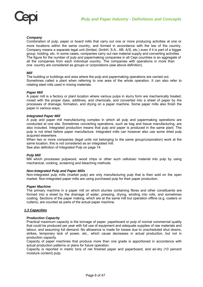![](_page_5_Picture_0.jpeg)

#### *Company*

Combination of pulp, paper or board mills that carry out one or more producing activities at one or more locations within the same country, and formed in accordance with the law of the country. Company means a separate legal unit (limited, GmbH, S.A., AB. A/S, etc.) even if it is part of a bigger group, holding, etc. In some cases, companies carry out raw material supply and converting activities. The figure for the number of pulp and papermaking companies in all Cepi countries is an aggregate of all the companies from each individual country. The companies with operations in more than one country are considered as groups or corporations (see above definition).

#### *Mill*

The building or buildings and area where the pulp and papermaking operations are carried out. Sometimes called a plant when referring to one area of the whole operation. It can also refer to rotating steel rolls used in mixing materials.

#### *Paper Mill*

A paper mill is a factory or plant location where various pulps in slurry form are mechanically treated, mixed with the proper dyes, additives, and chemicals, and converted into a sheet of paper by the processes of drainage, formation, and drying on a paper machine. Some paper mills also finish the paper in various ways.

#### *Integrated Paper Mill*

A pulp and paper mill manufacturing complex in which all pulp and papermaking operations are conducted at one site. Sometimes converting operations, such as bag and tissue manufacturing, are also included. Integrated production means that pulp and paper is produced in the same plant. The pulp is not dried before paper manufacture. Integrated mills can however also use some dried pulp acquired elsewhere.

When two or more companies (legal units not belonging to the same group/corporation) work at the same location, this is not considered as an integrated mill.

See also definition of Integrated Pulp on page 14.

#### *Pulp Mill*

Mill which processes pulpwood, wood chips or other such cellulosic material into pulp by using mechanical, cooking, screening and bleaching methods.

#### *Non-Integrated Pulp and Paper Mills*

Non-integrated pulp mills (market pulp) are only manufacturing pulp that is then sold on the open market. Non-integrated paper mills are using purchased pulp for their paper production.

#### *Paper Machine*

The primary machine in a paper mill on which slurries containing fibres and other constituents are formed into a sheet by the drainage of water, pressing, drying, winding into rolls, and sometimes coating. Sections of the paper making, which are at the same mill but operation offline (e.g. coaters or cutters), are counted as parts of the actual paper machine.

#### *1.3 Capacities*

#### *Production Capacity*

Practical maximum capacity is the tonnage of paper, paperboard or pulp of normal commercial quality that could be produced per year with full use of equipment and adequate supplies of raw materials and labour, and assuming full demand. No allowance is made for losses due to unscheduled shut downs, strikes, temporary lack of power, etc., which cause decreases in actual production, but not in production capacity.

Capacity of paper machines that produce more than one grade is apportioned in accordance with actual production patterns or plans for future operation.

Capacity is reported in metric tons of net finished paper and paperboard, and air-dry (10 percent moisture content) pulp.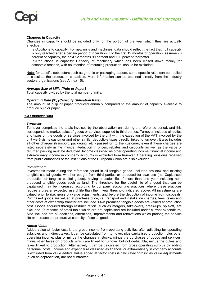![](_page_6_Picture_0.jpeg)

#### **Changes in Capacity**

Changes in capacity should be included only for the portion of the year which they are actually effective.

(a) Additions to capacity: For new mills and machines, data should reflect the fact that full capacity is only reached after a certain period of operation. For the first 12 months of operation, assume 70 percent of capacity, the next 12 months 90 percent and 100 percent thereafter.

(b) Reductions in capacity: Capacity of machinery which has been closed down mainly for economic reasons, with no intention of resuming production, should be excluded.

Note: for specific subsectors such as graphic or packaging papers, some specific rules can be applied to calculate the production capacities. More information can be obtained directly from the industry sectors organisations (see Annex 15).

#### *Average Size of Mills (Pulp or Paper)*

Total capacity divided by the total number of mills.

#### *Operating Rate (%) (Capacity Utilisation Rate)*

The amount of pulp or paper produced annually compared to the amount of capacity available to produce pulp or paper.

#### *1.4 Financial Data*

#### *Turnover*

Turnover comprises the totals invoiced by the observation unit during the reference period, and this corresponds to market sales of goods or services supplied to third parties. Turnover includes all duties and taxes on the goods or services invoiced by the unit with the exception of the VAT invoiced by the unit vis-à-vis its customer and other similar deductible taxes directly linked to turnover. It also includes all other charges (transport, packaging, etc.) passed on to the customer, even if these charges are listed separately in the invoice. Reduction in prices, rebates and discounts as well as the value of returned packing must be deducted. Income classified as other operating income, financial income and extra-ordinary income in company accounts is excluded from turnover. Operating subsidies received from public authorities or the institutions of the European Union are also excluded.

#### *Investments*

Investments made during the reference period in all tangible goods. Included are new and existing tangible capital goods, whether bought from third parties or produced for own use (i.e. Capitalised production of tangible capital goods), having a useful life of more than one year including nonproduced tangible goods such as land. The threshold for the useful life of a good that can be capitalised may be increased according to company accounting practices where these practices require a greater expected useful life than the 1 year threshold indicated above. All investments are valued prior to (i.e. gross of) value adjustments, and before the deduction of income from disposals. Purchased goods are valued at purchase price, i.e. transport and installation charges, fees, taxes and other costs of ownership transfer are included. Own produced tangible goods are valued at production cost. Goods acquired through restructuration (such as mergers, take-overs, break-ups, split-off) are excluded. Purchases of small tools which are not capitalised are included under current expenditure. Also included are all additions, alterations, improvements and renovations which prolong the service life or increase the productive capacity of capital goods.

#### *Added Value*

Added value at factor cost is the gross income from operating activities after adjusting for operating subsidies and indirect taxes. It can be calculated from turnover, plus capitalised production, plus other operating income, plus or minus the changes in stocks, minus the purchases of goods and services, minus other taxes on products which are linked to turnover but not deductible, minus the duties and taxes linked to production. Alternatively it can be calculated from gross operating surplus by adding personnel costs. Income and expenditure classified as financial or extra-ordinary in company accounts is excluded from value added. Value added at factor costs is calculated "gross" as value adjustments (such as depreciation) are not subtracted.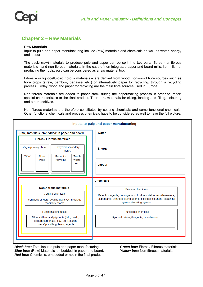![](_page_7_Picture_0.jpeg)

# **Chapter 2 – Raw Materials**

#### **Raw Materials**

Input to pulp and paper manufacturing include (raw) materials and chemicals as well as water, energy and labour.

The basic (raw) materials to produce pulp and paper can be split into two parts: fibres - or fibrous materials - and non-fibrous materials. In the case of non-integrated paper and board mills, i.e. mills not producing their pulp, pulp can be considered as a raw material too.

Fibres – or lignocellulosic fibrous materials – are derived from wood, non-wood fibre sources such as fibre crops (straw, bamboo, bagasse, etc.) or alternatively paper for recycling, through a recycling process. Today, wood and paper for recycling are the main fibre sources used in Europe.

Non-fibrous materials are added to paper stock during the papermaking process in order to impart special characteristics to the final product. There are materials for sizing, loading and filling, colouring and other additives.

Non-fibrous materials are therefore constituted by coating chemicals and some functional chemicals. Other functional chemicals and process chemicals have to be considered as well to have the full picture.

| Water<br>(Raw) materials 'embedded' in paper and board |                                                                                                                           |  |                                                                                                                                                                       |  |
|--------------------------------------------------------|---------------------------------------------------------------------------------------------------------------------------|--|-----------------------------------------------------------------------------------------------------------------------------------------------------------------------|--|
|                                                        | <b>Fibres / Fibrous materials</b>                                                                                         |  |                                                                                                                                                                       |  |
| Virgin/primary fibres                                  | Recycled/secondary<br>fibres                                                                                              |  | <b>Energy</b>                                                                                                                                                         |  |
| Wood<br>Non-<br>wood                                   | Paper for<br><b>Textile</b><br>recycling<br>waste,                                                                        |  |                                                                                                                                                                       |  |
|                                                        | etc.                                                                                                                      |  | Labour                                                                                                                                                                |  |
|                                                        |                                                                                                                           |  | <b>Chemicals</b>                                                                                                                                                      |  |
|                                                        | <b>Non-fibrous materials</b>                                                                                              |  | Process chemicals                                                                                                                                                     |  |
|                                                        | Coating chemicals<br>Synthetic binders, coating additives, rheology<br>modifiers, starch                                  |  | Retention agents, drainage aids, fixatives, defoamers/deaerators,<br>dispersants, synthetic sizing agents, biocides, cleaners, bleaching<br>agents, de-inking agents. |  |
|                                                        | <b>Functional chemicals</b>                                                                                               |  | <b>Functional chemicals</b>                                                                                                                                           |  |
|                                                        | Mineral fillers and pigments (talc, kaolin,<br>calcium carbonate, clay, etc.), starch,<br>dyes/Optical brightening agents |  | Synthetic strength agents, crosslinkers.                                                                                                                              |  |
|                                                        |                                                                                                                           |  |                                                                                                                                                                       |  |

**Black box:** Total input to pulp and paper manufacturing. **Green box:** Fibres / Fibrous materials. *Blue box:* (Raw) Materials 'embedded' in paper and board. *Yellow box:* Non-fibrous materials. *Red box:* Chemicals, embedded or not in the final product.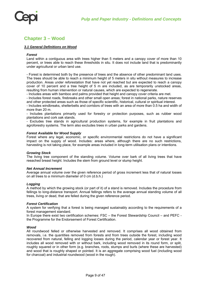![](_page_8_Picture_0.jpeg)

# **Chapter 3 – Wood**

#### *3.1 General Definitions on Wood*

#### *Forest*

Land within a contiguous area with trees higher than 5 meters and a canopy cover of more than 10 percent, or trees able to reach these thresholds in situ. It does not include land that is predominantly under agricultural or urban land use.

- Forest is determined both by the presence of trees and the absence of other predominant land uses. The trees should be able to reach a minimum height of 5 meters in situ without measures to increase production. Areas under reforestation that have not yet reached but are expected to reach a canopy cover of 10 percent and a tree height of 5 m are included, as are temporarily unstocked areas, resulting from human intervention or natural causes, which are expected to regenerate.

- Includes areas with bamboo and palms provided that height and canopy cover criteria are met.

- Includes forest roads, firebreaks and other small open areas; forest in national parks, nature reserves and other protected areas such as those of specific scientific, historical, cultural or spiritual interest.

- Includes windbreaks, shelterbelts and corridors of trees with an area of more than 0.5 ha and width of more than 20 m.

- Includes plantations primarily used for forestry or protection purposes, such as rubber wood plantations and cork oak stands.

- Excludes tree stands in agricultural production systems, for example in fruit plantations and agroforestry systems. The term also excludes trees in urban parks and gardens.

#### *Forest Available for Wood Supply*

Forest where any legal, economic, or specific environmental restrictions do not have a significant impact on the supply of wood. Includes: areas where, although there are no such restrictions, harvesting is not taking place, for example areas included in long-term utilisation plans or intentions.

#### *Growing Stock*

The living tree component of the standing volume. Volume over bark of all living trees that have reeached breast height. Includes the stem from ground level or stump height.

#### *Net Annual Increment*

Average annual volume over the given reference period of gross increment less that of natural losses on all trees to a minimum diameter of 0 cm (d.b.h.)

#### *Logging*

A method by which the growing stock (or part of it) of a stand is removed. Includes the procedure from fellings to long-distance transport. Annual fellings refers to the average annual standing volume of all trees, living or dead, that are felled during the given reference period.

#### *Forest Certification*

A system for verifying that a forest is being managed sustainably according to the requirements of a forest management standard.

In Europe there exist two certification schemes: FSC – the Forest Stewardship Council – and PEFC the Programme for the Endorsement of Forest Certification.

#### *Wood*

All roundwood felled or otherwise harvested and removed. It comprises all wood obtained from removals, i.e. the quantities removed from forests and from trees outside the forest, including wood recovered from natural, felling and logging losses during the period, calendar year or forest year. It includes all wood removed with or without bark, including wood removed in its round form, or split, roughly squared or in other form (e.g. branches, roots, stumps and burls (where these are harvested) and wood that is roughly shaped or pointed. It is an aggregate comprising wood fuel (including wood for charcoal) and industrial roundwood (wood in the rough).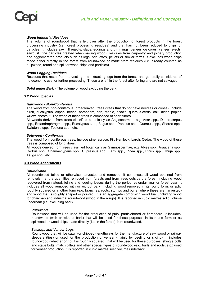![](_page_9_Picture_0.jpeg)

#### *Wood Industrial Residues*

The volume of roundwood that is left over after the production of forest products in the forest processing industry (i.e. forest processing residues) and that has not been reduced to chips or particles. It includes sawmill rejects, slabs, edgings and trimmings, veneer log cores, veneer rejects, sawdust (fine particles created when sawing wood), residues from carpentry and joinery production and agglomerated products such as logs, briquettes, pellets or similar forms. It excludes wood chips made either directly in the forest from roundwood or made from residues (i.e. already counted as pulpwood, round and split or wood chips and particles).

#### *Wood Logging Residues*

Residues that result from harvesting and extracting logs from the forest, and generally considered of no economic use for further processing. These are left in the forest after felling and are not salvaged.

**Solid under Bark** - The volume of wood excluding the bark.

#### *3.2 Wood Species*

#### *Hardwood - Non-Coniferous*

The wood from non-coniferous (broadleaved) trees (trees that do not have needles or cones). Include birch, eucalyptus, aspen, beech, hornbeam, ash, maple, acacia, quercus-cerris, oak, alder, poplar, willow, chestnut. The wood of these trees is composed of short fibres.

All woods derived from trees classified botanically as Angiospermae, e.g. Acer spp., Dipterocarpus spp., Entandrophragma spp., Eucalyptus spp., Fagus spp., Populus spp., Quercus spp., Shorea spp., Swietonia spp., Tectona spp., etc.

#### *Softwood - Coniferous*

The wood from coniferous trees. Include pine, spruce, Fir, Hemlock, Larch, Cedar. The wood of these trees is composed of long fibres.

All woods derived from trees classified botanically as Gymnospermae, e.g. Abies spp., Araucaria spp., Cedrus spp., Chamaecyparis spp., Cupressus spp., Larix spp., Picea spp., Pinus spp., Thuja spp., Tsuga spp., etc.

#### *3.3 Wood Assortments*

#### *Roundwood*

All roundwood felled or otherwise harvested and removed. It comprises all wood obtained from removals, i.e. the quantities removed from forests and from trees outside the forest, including wood recovered from natural, felling and logging losses during the period, calendar year or forest year. It includes all wood removed with or without bark, including wood removed in its round form, or split, roughly squared or in other form (e.g. branches, roots, stumps and burls (where these are harvested) and wood that is roughly shaped or pointed. It is an aggregate comprising wood fuel (including wood for charcoal) and industrial roundwood (wood in the rough). It is reported in cubic metres solid volume underbark (i.e. excluding bark)

#### *Pulpwood*

Roundwood that will be used for the production of pulp, particleboard or fibreboard. It includes: roundwood (with or without bark) that will be used for these purposes in its round form or as splitwood or wood chips made directly (i.e. in the forest) from roundwood.

#### *Sawlogs and Veneer Logs*

Roundwood that will be sawn (or chipped) lengthways for the manufacture of sawnwood or railway sleepers (ties) or used for the production of veneer (mainly by peeling or slicing). It includes roundwood (whether or not it is roughly squared) that will be used for these purposes; shingle bolts and stave bolts; match billets and other special types of roundwood (e.g. burls and roots, etc.) used for veneer production. It is reported in cubic metres solid volume underbark.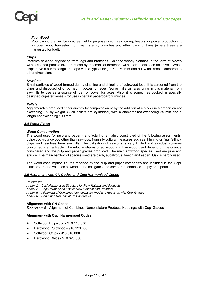![](_page_10_Picture_0.jpeg)

#### *Fuel Wood*

Roundwood that will be used as fuel for purposes such as cooking, heating or power production. It includes wood harvested from main stems, branches and other parts of trees (where these are harvested for fuel).

#### *Chips*

Particles of wood originating from logs and branches. Chipped woody biomass in the form of pieces with a defined particle size produced by mechanical treatment with sharp tools such as knives. Wood chips have a subrectangular shape with a typical length 5 to 50 mm and a low thickness compared to other dimensions.

#### *Sawdust*

Small particles of wood formed during slashing and chipping of pulpwood logs. It is screened from the chips and disposed of or burned in power furnaces. Some mills will also bring in this material from sawmills to use as a source of fuel for power furnaces. Also, it is sometimes cooked in specially designed digester vessels for use in certain paperboard furnishes.

#### *Pellets*

Agglomerates produced either directly by compression or by the addition of a binder in a proportion not exceeding 3% by weight. Such pellets are cylindrical, with a diameter not exceeding 25 mm and a length not exceeding 100 mm.

#### *3.4 Wood Flows*

#### *Wood Consumption*

The wood used for pulp and paper manufacturing is mainly constituted of the following assortments: pulpwood (roundwood other than sawlogs, from silvicultural measures such as thinning or final felling), chips and residues from sawmills. The utilisation of sawlogs is very limited and sawdust volumes consumed are negligible. The relative shares of softwood and hardwood used depend on the country considered and the pulp and paper grades produced. The main softwood species used are pine and spruce. The main hardwood species used are birch, eucalyptus, beech and aspen. Oak is hardly used.

The wood consumption figures reported by the pulp and paper companies and included in the Cepi statistics are the volumes of wood at the mill gates and come from domestic supply or imports.

#### *3.5 Alignment with CN Codes and Cepi Harmonised Codes*

*References:*

*Annex 1 – Cepi Harmonised Structure for Raw Material and Products* 

*Annex 2 – Cepi Harmonised List for Raw Material and Products* 

*Annex 5 – Alignment of Combined Nomenclature Products Headings with Cepi Grades* 

*Annex 6 – Combined Nomenclature Chapter 44*

#### **Alignment with CN Codes**

*See Annex 5* - Alignment of Combined Nomenclature Products Headings with Cepi Grades

#### **Alignment with Cepi Harmonised Codes**

- $\triangleright$  Softwood Pulpwood 910 110 000
- $\blacktriangleright$  Hardwood Pulpwood 910 120 000
- $\triangleright$  Softwood Chips 910 310 000
- $\blacktriangleright$  Hardwood Chips 910 320 000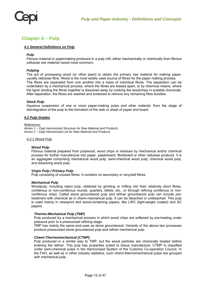![](_page_11_Picture_0.jpeg)

## **Chapter 4 – Pulp**

#### *4.1 General Definitions on Pulp*

#### *Pulp*

Fibrous material in papermaking produced in a pulp mill, either mechanically or chemically from fibrous cellulose raw material (wood most common).

#### *Pulping*

The act of processing wood (or other plant) to obtain the primary raw material for making paper, usually cellulose fibre. Wood is the most widely used source of fibres for the paper making process. The fibres are separated from one another into a mass of individual fibres. The separation can be undertaken by a mechanical process, where the fibres are teased apart, or by chemical means, where the lignin binding the fibres together is dissolved away by cooking the woodchips in suitable chemicals. After separation, the fibres are washed and screened to remove any remaining fibre bundles.

#### *Stock Pulp*

Aqueous suspension of one or more paper-making pulps and other material, from the stage of disintegration of the pulp to the formation of the web or sheet of paper and board.

#### *4.2 Pulp Grades*

#### *References:*

*Annex 1 – Cepi Harmonised Structure for Raw Material and Products Annex 2 – Cepi Harmonised List for Raw Material and Products* 

#### *4.2.1 Wood Pulp*

#### *Wood Pulp*

Fibrous material prepared from pulpwood, wood chips or residues by mechanical and/or chemical process for further manufacture into paper, paperboard, fibreboard or other cellulose products. It is an aggregate comprising mechanical wood pulp; semi-chemical wood pulp; chemical wood pulp; and dissolving wood pulp.

#### *Virgin Pulp / Primary Pulp*

Pulp consisting of unused fibres. It contains no secondary or recycled fibres.

#### *Mechanical Pulp*

Woodpulp, including reject pulp, obtained by grinding or milling into their relatively short fibres, coniferous or non-coniferous rounds, quarters, billets, etc., or through refining coniferous or nonconiferous chips. Called stone groundwood pulp and refiner groundwood pulp can include pretreatment with chemical as in chemi-mechanical pulp. It can be bleached or unbleached. This pulp is used mainly in newsprint and wood-containing papers, like LWC (light-weight coated) and SC papers.

#### *Thermo-Mechanical Pulp (TMP)*

Pulp produced by a mechanical process in which wood chips are softened by pre-heating under pressure prior to a pressurized refining stage.

TMP has mainly the same end-uses as stone groundwood. Variants of the above two processes produce pressurised stone groundwood pulp and refiner mechanical pulp.

#### *Chemi-Thermomechanical (CTMP)*

Pulp produced in a similar way to TMP, but the wood particles are chemically treated before entering the refiner. This pulp has properties suited to tissue manufacture. CTMP is classified under semi-chemical pulps in the Harmonised System of the Customs Co-operation Council. In the FAO, as well as in other industry statistics, such chemi-thermomechanical pulps are grouped with mechanical pulp.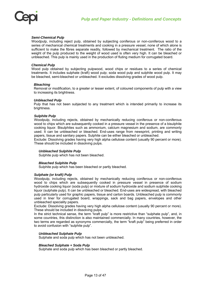![](_page_12_Picture_0.jpeg)

#### *Semi-Chemical Pulp*

Woodpulp, including reject pulp, obtained by subjecting coniferous or non-coniferous wood to a series of mechanical chemical treatments and cooking in a pressure vessel, none of which alone is sufficient to make the fibres separate readily, followed by mechanical treatment. The ratio of the weight of the pulp produced to the weight of wood used is often very high. It can be bleached or unbleached. This pulp is mainly used in the production of fluting medium for corrugated board.

#### *Chemical Pulp*

Wood pulp obtained by subjecting pulpwood, wood chips or residues to a series of chemical treatments. It includes sulphate (kraft) wood pulp; soda wood pulp and sulphite wood pulp. It may be bleached, semi-bleached or unbleached. It excludes dissolving grades of wood pulp.

#### *Bleaching*

Removal or modification, to a greater or lesser extent, of coloured components of pulp with a view to increasing its brightness.

#### *Unbleached Pulp*

Pulp that has not been subjected to any treatment which is intended primarily to increase its brightness.

#### *Sulphite Pulp*

Woodpulp, including rejects, obtained by mechanically reducing coniferous or non-coniferous wood to chips which are subsequently cooked in a pressure vessel in the presence of a bisulphite cooking liquor. Bisulphites such as ammonium, calcium magnesium and sodium, are commonly used. It can be unbleached or bleached. End-uses range from newsprint, printing and writing papers, tissue and sanitary papers. Sulphite can be either bleached or unbleached.

Exclude: Dissolving grades having very high alpha cellulose content (usually 90 percent or more). These should be included in dissolving pulps.

#### *Unbleached Sulphite Pulp*

Sulphite pulp which has not been bleached.

#### *Bleached Sulphite Pulp*

Sulphite pulp which has been bleached or partly bleached.

#### *Sulphate (or kraft) Pulp*

Woodpulp, including rejects, obtained by mechanically reducing coniferous or non-coniferous wood to chips which are subsequently cooked in pressure vessel in presence of sodium hydroxide cooking liquor (soda pulp) or mixture of sodium hydroxide and sodium sulphide cooking liquor (sulphate pulp). It can be unbleached or bleached. End-uses are widespread, with bleached pulp particularly used for graphic papers, tissue and carton boards. Unbleached pulp is commonly used in liner for corrugated board, wrappings, sack and bag papers, envelopes and other unbleached speciality papers.

Exclude: Dissolving grades having very high alpha cellulose content (usually 90 percent or more). These should be included in dissolving pulps.

In the strict technical sense, the term "kraft pulp" is more restrictive than "sulphate pulp", and, in some countries, this distinction is also maintained commercially. In many countries, however, the two terms are regarded as synonyms commercially, the term "kraft pulp" being preferred in order to avoid confusion with "sulphite pulp".

#### *Unbleached Sulphate Pulp*

Sulphate and soda pulp which has not been unbleached.

#### *Bleached Sulphate + Soda Pulp*

Sulphate and soda pulp which has been bleached or partly bleached.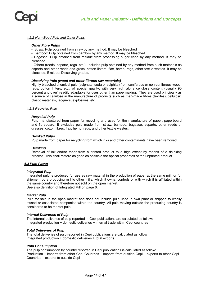![](_page_13_Picture_0.jpeg)

#### *4.2.2 Non-Wood Pulp and Other Pulps*

#### *Other Fibre Pulps*

- Straw: Pulp obtained from straw by any method. It may be bleached
- Bamboo: Pulp obtained from bamboo by any method. It may be bleached.
- Bagasse: Pulp obtained from residue from processing sugar cane by any method. It may be bleached.

- Others (reeds, esparto, rags, etc.): Includes pulp obtained by any method from such materials as esparto and other reeds and grass, cotton linters, flax, hemp, rags, other textile wastes. It may be bleached. Exclude: Dissolving grades.

#### *Dissolving Pulp (wood and other fibrous raw materials)*

Highly bleached chemical pulp (sulphate, soda or sulphite) from coniferous or non-coniferous wood, rags, cotton linters, etc., of special quality, with very high alpha cellulose content (usually 90 percent and over) readily adaptable for uses other than papermaking. They are used principally as a source of cellulose in the manufacture of products such as man-made fibres (textiles), cellulosic plastic materials, lacquers, explosives, etc.

#### *4.2.3 Recycled Pulp*

#### *Recycled Pulp*

Pulp manufactured from paper for recycling and used for the manufacture of paper, paperboard and fibreboard. It excludes pulp made from straw; bamboo; bagasse; esparto; other reeds or grasses; cotton fibres; flax; hemp; rags; and other textile wastes.

#### *Deinked Pulps*

Pulp made from paper for recycling from which inks and other contaminants have been removed.

#### *Deinking*

Removal of ink and/or toner from a printed product to a high extent by means of a deinking process. This shall restore as good as possible the optical properties of the unprinted product.

#### *4.3 Pulp Flows*

#### *Integrated Pulp*

Integrated pulp is produced for use as raw material in the production of paper at the same mill, or for shipment by a producing mill to other mills, which it owns, controls or with which it is affiliated within the same country and therefore not sold on the open market. See also definition of Integrated Mill on page 6.

#### *Market Pulp*

Pulp for sale in the open market and does not include pulp used in own plant or shipped to wholly owned or associated companies within the country. All pulp moving outside the producing country is considered to be market pulp.

#### *Internal Deliveries of Pulp*

The internal deliveries of pulp reported in Cepi publications are calculated as follow: Integrated production + domestic deliveries + internal trade within Cepi countries

#### *Total Deliveries of Pulp*

The total deliveries of pulp reported in Cepi publications are calculated as follow Integrated production + domestic deliveries + total exports

#### *Pulp Consumption*

The pulp consumption by country reported in Cepi publications is calculated as follow: Production + imports from other Cepi Countries + imports from outside Cepi – exports to other Cepi Countries – exports to outside Cepi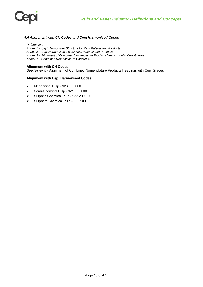![](_page_14_Picture_0.jpeg)

#### *4.4 Alignment with CN Codes and Cepi Harmonised Codes*

#### *References:*

- *Annex 1 Cepi Harmonised Structure for Raw Material and Products*
- *Annex 2 Cepi Harmonised List for Raw Material and Products*
- *Annex 5 Alignment of Combined Nomenclature Products Headings with Cepi Grades*
- *Annex 7 Combined Nomenclature Chapter 47*

#### **Alignment with CN Codes**

*See Annex 5* - Alignment of Combined Nomenclature Products Headings with Cepi Grades

#### **Alignment with Cepi Harmonised Codes**

- $\blacktriangleright$  Mechanical Pulp 923 000 000
- $\triangleright$  Semi-Chemical Pulp 921 000 000
- $\triangleright$  Sulphite Chemical Pulp 922 200 000
- Sulphate Chemical Pulp 922 100 000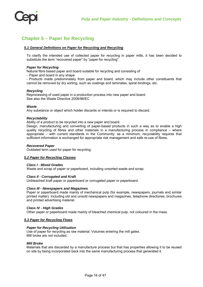![](_page_15_Picture_0.jpeg)

# **Chapter 5 – Paper for Recycling**

#### *5.1 General Definitions on Paper for Recycling and Recycling*

To clarify the intended use of collected paper for recycling in paper mills, it has been decided to substitute the term "recovered paper" by "paper for recycling".

#### *Paper for Recycling*

Natural fibre based paper and board suitable for recycling and consisting of

- Paper and board in any shape

- Products made predominately from paper and board, which may include other constituents that cannot be removed by dry sorting, such as coatings and laminates, spiral bindings, etc.

#### *Recycling*

Reprocessing of used paper in a production process into new paper and board. See also the Waste Directive 2008/98/EC

#### *Waste*

Any substance or object which holder discards or intends or is required to discard.

#### *Recyclability*

Ability of a product to be recycled into a new paper and board.

Design, manufacturing and converting of paper-based products in such a way as to enable a high quality recycling of fibres and other materials in a manufacturing process in compliance – where appropriate – with current standards in the Community: as a minimum, recyclability requires that sufficient information is exchanged for appropriate risk management and safe re-use of fibres.

#### *Recovered Paper*

Outdated term used for paper for recycling.

#### *5.2 Paper for Recycling Classes*

#### *Class I - Mixed Grades*

Waste and scrap of paper or paperboard, including unsorted waste and scrap.

#### *Class II - Corrugated and Kraft*

Unbleached kraft paper or paperboard or corrugated paper or paperboard.

#### *Class III - Newspapers and Magazines*

Paper or paperboard made mainly of mechanical pulp (for example, newspapers, journals and similar printed matter). Including old and unsold newspapers and magazines, telephone directories, brochures and printed advertising material.

#### *Class IV - High Grades*

Other paper or paperboard made mainly of bleached chemical pulp, not coloured in the mass.

#### *5.3 Paper for Recycling Flows*

#### *Paper for Recycling Utilisation*

Use of paper for recycling as raw material. Volumes entering the mill gates. Mill broke are not included.

#### *Mill Broke*

Materials that are discarded by a manufacture process but that has properties allowing it to be reused on site by being incorporated back into the same manufacturing process that generated it.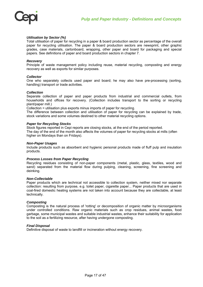![](_page_16_Picture_0.jpeg)

#### *Utilisation by Sector (%)*

Total utilisation of paper for recycling in a paper & board production sector as percentage of the overall paper for recycling utilisation. The paper & board production sectors are newsprint, other graphic grades, case materials, cartonboard, wrapping, other paper and board for packaging and special papers. See definitions of paper and board production sectors in chapter 7.

#### *Recovery*

Principle of waste management policy including reuse, material recycling, composting and energy recovery as well as exports for similar purposes.

#### *Collector*

One who separately collects used paper and board; he may also have pre-processing (sorting, handling) transport or trade activities.

#### *Collection*

Separate collection of paper and paper products from industrial and commercial outlets, from households and offices for recovery. (Collection includes transport to the sorting or recycling plant/paper mill.)

Collection = utilisation plus exports minus imports of paper for recycling.

The difference between collection and utilisation of paper for recycling can be explained by trade, stock variations and some volumes destined to other material recycling options.

#### *Paper for Recycling Stocks*

Stock figures reported in Cepi reports are closing stocks, at the end of the period reported. The day of the end of the month also affects the volumes of paper for recycling stocks at mills (often higher on Mondays than on Fridays).

#### *Non-Paper Usages*

Include products such as absorbent and hygienic personal products made of fluff pulp and insulation products.

#### *Process Losses from Paper Recycling*

Recycling residues consisting of non-paper components (metal, plastic, glass, textiles, wood and sand) separated from the material flow during pulping, cleaning, screening, fine screening and deinking.

#### *Non-Collectable*

Paper products which are technical not accessible to collection system, neither mixed nor separate collection: resulting from purpose, e.g. toilet paper, cigarette paper... Paper products that are used in coal-fired domestic heating systems are not taken into account because they are collectable, at least technically.

#### *Composting*

Composting is the natural process of 'rotting' or decomposition of organic matter by microorganisms under controlled conditions. Raw organic materials such as crop residues, animal wastes, food garbage, some municipal wastes and suitable industrial wastes, enhance their suitability for application to the soil as a fertilizing resource, after having undergone composting.

#### *Final Disposal*

Definitive disposal of waste to landfill or incineration without energy recovery.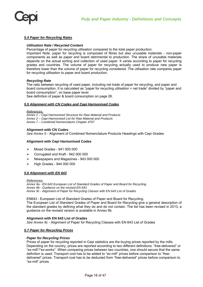![](_page_17_Picture_0.jpeg)

#### *5.4 Paper for Recycling Rates*

#### *Utilisation Rate / Recycled Content*

Percentage of paper for recycling utilisation compared to the total paper production.

Important Note: paper for recycling is composed of fibres but also unusable materials - non-paper components as well as paper and board detrimental to production. The share of unusable materials depends on the actual sorting and collection of used paper. It varies according to paper for recycling grades and countries. The volume of paper for recycling actually used to produce new paper is therefore lower than the volume of paper for recycling considered. The utilisation rate compares paper for recycling utilisation to paper and board production.

#### *Recycling Rate*

The ratio between recycling of used paper, including net trade of paper for recycling, and paper and board consumption. It is calculated as "paper for recycling utilisation + net trade" divided by "paper and board consumption", on base paper level.

See definition of paper & board consumption on page 26.

#### *5.5 Alignment with CN Codes and Cepi Harmonised Codes*

*References:*

*Annex 1 – Cepi Harmonised Structure for Raw Material and Products Annex 2 – Cepi Harmonised List for Raw Material and Products Annex 7 – Combined Nomenclature Chapter 4707* 

#### **Alignment with CN Codes**

*See Annex 5* - Alignment of Combined Nomenclature Products Headings with Cepi Grades

#### **Alignment with Cepi Harmonised Codes**

- $\triangleright$  Mixed Grades 941 000 000
- Corrugated and Kraft 942 000 000
- Newspapers and Magazines 943 000 000
- $\blacktriangleright$  High Grades 944 000 000

#### *5.6 Alignment with EN 643*

*References:* 

*Annex 9a - EN 643 European List of Standard Grades of Paper and Board for Recycling. Annex 9b - Guidance on the revised EN 643 Annex 9c - Alignment of Paper for Recycling Classes with EN 643 List of Grades* 

EN643 - European List of Standard Grades of Paper and Board for Recycling. The European List of Standard Grades of Paper and Board for Recycling give a general description of the standard grades by defining what they do and do not contain. The list has been revised in 2013, a guidance on the revised version is available in Annex 9b.

#### **Alignment with EN 643 List of Grades**

*See Annex 9c -* Alignment of Paper for Recycling Classes with EN 643 List of Grades

#### *5.7 Paper for Recycling Prices*

#### *Paper for Recycling Prices*

Prices of paper for recycling reported in Cepi statistics are the buying prices reported by the mills. Depending on the country, prices are reported according to two different definitions: "free-delivered" or "ex-mill"/"ex-works". When comparing prices between two countries, one should secure that the same definition is used. Transport cost has to be added to "ex-mill" prices before comparison to "freedelivered" prices. Transport cost has to be deducted from "free-delivered" prices before comparison to "ex-mill" prices.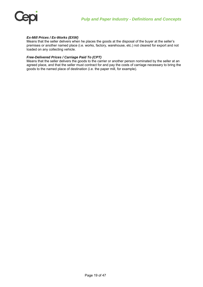![](_page_18_Picture_0.jpeg)

#### *Ex-Mill Prices / Ex-Works (EXW)*

Means that the seller delivers when he places the goods at the disposal of the buyer at the seller's premises or another named place (i.e. works, factory, warehouse, etc.) not cleared for export and not loaded on any collecting vehicle.

#### *Free-Delivered Prices / Carriage Paid To (CPT)*

Means that the seller delivers the goods to the carrier or another person nominated by the seller at an agreed place, and that the seller must contract for and pay the costs of carriage necessary to bring the goods to the named place of destination (i.e. the paper mill, for example).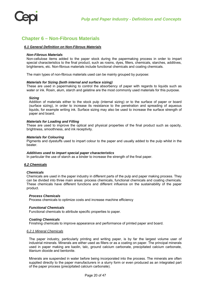![](_page_19_Picture_0.jpeg)

# **Chapter 6 – Non-Fibrous Materials**

#### *6.1 General Definition on Non-Fibrous Materials*

#### *Non-Fibrous Materials*

Non-cellulose items added to the paper stock during the papermaking process in order to impart special characteristics to the final product, such as rosins, dyes, fillers, chemicals, starches, additives, brighteners, etc. Non-fibrous materials include functional chemicals and coating chemicals.

The main types of non-fibrous materials used can be mainly grouped by purpose:

#### *Materials for Sizing (both internal and surface sizing)*

These are used in papermaking to control the absorbency of paper with regards to liquids such as water or ink. Rosin, alum, starch and gelatine are the most commonly used materials for this purpose.

#### *Sizing*

Addition of materials either to the stock pulp (internal sizing) or to the surface of paper or board (surface sizing), in order to increase its resistance to the penetration and spreading of aqueous liquids, for example writing ink. Surface sizing may also be used to increase the surface strength of paper and board.

#### *Materials for Loading and Filling*

These are used to improve the optical and physical properties of the final product such as opacity, brightness, smoothness, and ink receptivity.

#### *Materials for Colouring*

Pigments and dyestuffs used to impart colour to the paper and usually added to the pulp whilst in the beater.

#### *Additives used to impart special paper characteristics*

In particular the use of starch as a binder to increase the strength of the final paper.

#### *6.2 Chemicals*

#### *Chemicals*

Chemicals are used in the paper industry in different parts of the pulp and paper making process. They can be divided into three main areas: process chemicals, functional chemicals and coating chemicals. These chemicals have different functions and different influence on the sustainability of the paper product.

#### *Process Chemicals*

Process chemicals to optimize costs and increase machine efficiency

#### *Functional Chemicals*

Functional chemicals to attribute specific properties to paper.

#### *Coating Chemicals*

Finishing chemicals to improve appearance and performance of printed paper and board.

#### *6.2.1 Mineral Chemicals*

The paper industry, particularly printing and writing paper, is by far the largest volume user of industrial minerals. Minerals are either used as fillers or as a coating on paper. The principal minerals used in paper making are kaolin, talc, ground calcium carbonate, precipitated calcium carbonate, titanium dioxide and bentonite.

Minerals are suspended in water before being incorporated into the process. The minerals are often supplied directly to the paper manufacturers in a slurry form or even produced as an integrated part of the paper process (precipitated calcium carbonate).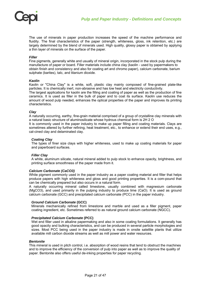![](_page_20_Picture_0.jpeg)

The use of minerals in paper production increases the speed of the machine performance and fluidity. The final characteristics of the paper (strength, whiteness, gloss, ink retention, etc.) are largely determined by the blend of minerals used. High quality, glossy paper is obtained by applying a thin layer of minerals on the surface of the paper.

#### *Filler*

Fine pigments, generally white and usually of mineral origin, incorporated in the stock pulp during the manufacture of paper or board. Filler materials include china clay (kaolin - used by papermakers to obtain finish and consistency and also for coating art and chromo paper), calcium carbonate, barium sulphate (barites), talc, and titanium dioxide.

#### *Kaolin*

Kaolin or "China Clay" is a white, soft, plastic clay mainly composed of fine-grained plate-like particles. It is chemically inert, non-abrasive and has low heat and electricity conductivity. The largest applications for kaolin are the filling and coating of paper as well as the production of fine

ceramics. It is used as filler in the bulk of paper and to coat its surface. Kaolin use reduces the amount of wood pulp needed, enhances the optical properties of the paper and improves its printing characteristics.

#### *Clay*

A naturally occurring, earthy, fine-grain material comprised of a group of crystalline clay minerals with a natural basic structure of aluminosilicate whose hydrous chemical form is 2H 2 O

It is commonly used in the paper industry to make up paper filling and coating materials. Clays are sometimes altered by further refining, heat treatment, etc., to enhance or extend their end uses, e.g., cal-cined clay and delaminated clay.

#### *Coating Clay*

The types of finer size clays with higher whiteness, used to make up coating materials for paper and paperboard surfaces.

#### *Filler Clay*

A white, aluminum silicate, natural mineral added to pulp stock to enhance opacity, brightness, and printing surface smoothness of the paper made from it.

#### *Calcium Carbonate (CaCO3)*

White pigment commonly used in the paper industry as a paper coating material and filler that helps produce papers with high whiteness and gloss and good printing properties. It is a com-pound that can be chemically prepared but also occurs in a natural form.

A naturally occurring mineral called limestone, usually combined with magnesium carbonate (MgCO3), and used primarily in the pulping industry to produce lime (CaO). It is used as ground calcium carbonate (GCC) and precipitated calcium carbonate (PCC) in the paper industry.

#### *Ground Calcium Carbonate* **(GCC)**

Minerals mechanically refined from limestone and marble and used as a filler pigment, paper coating ingredient, etc. Sometimes referred to as natural ground calcium carbonate (NGCC).

#### *Precipitated Calcium Carbonate* **(PCC)**

Wet end filler used in alkaline papermaking and also in some coating formulations. It generally has good opacity and bulking characteristics, and can be produced in several particle morphologies and sizes. Most PCC being used in the paper industry is made in onsite satellite plants that utilize available mill carbon dioxide streams as well as mill power and water resources.

#### *Bentonite*

This mineral is used in pitch control, i.e. absorption of wood resins that tend to obstruct the machines and to improve the efficiency of the conversion of pulp into paper as well as to improve the quality of paper. Bentonite also offers useful de-inking properties for paper recycling.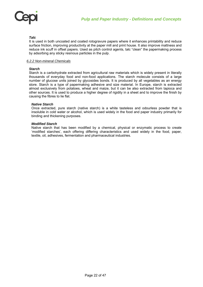![](_page_21_Picture_0.jpeg)

#### *Talc*

It is used in both uncoated and coated rotogravure papers where it enhances printability and reduce surface friction, improving productivity at the paper mill and print house. It also improve mattness and reduce ink scuff in offset papers. Used as pitch control agents, talc "clean" the papermaking process by adsorbing any sticky resinous particles in the pulp.

#### *6.2.2 Non-mineral Chemicals*

#### *Starch*

Starch is a carbohydrate extracted from agricultural raw materials which is widely present in literally thousands of everyday food and non-food applications. The starch molecule consists of a large number of glucose units joined by glycosides bonds. It is produced by all vegetables as an energy store. Starch is a type of papermaking adhesive and size material. In Europe, starch is extracted almost exclusively from potatoes, wheat and maize, but it can be also extracted from tapioca and other sources. It is used to produce a higher degree of rigidity in a sheet and to improve the finish by causing the fibres to lie flat.

#### *Native Starch*

Once extracted, pure starch (native starch) is a white tasteless and odourless powder that is insoluble in cold water or alcohol, which is used widely in the food and paper industry primarily for binding and thickening purposes.

#### *Modified Starch*

Native starch that has been modified by a chemical, physical or enzymatic process to create 'modified starches', each offering differing characteristics and used widely in the food, paper, textile, oil, adhesives, fermentation and pharmaceutical industries.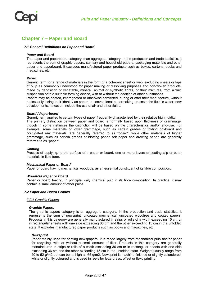![](_page_22_Picture_0.jpeg)

# **Chapter 7 – Paper and Board**

#### *7.1 General Definitions on Paper and Board*

#### *Paper and Board*

The paper and paperboard category is an aggregate category. In the production and trade statistics, it represents the sum of graphic papers; sanitary and household papers; packaging materials and other paper and paperboard. It excludes manufactured paper products such as boxes, cartons, books and magazines, etc.

#### *Paper*

Generic term for a range of materials in the form of a coherent sheet or web, excluding sheets or laps of pulp as commonly understood for paper making or dissolving purposes and non-woven products, made by deposition of vegetable, mineral, animal or synthetic fibres, or their mixtures, from a fluid suspension onto a suitable forming device, with or without the addition of other substances.

Papers may be coated, impregnated or otherwise converted, during or after their manufacture, without necessarily losing their identity as paper. In conventional papermaking process, the fluid is water; new developments, however, include the use of air and other fluids.

#### *Board / Paperboard*

Generic term applied to certain types of paper frequently characterized by their relative high rigidity. The primary distinction between paper and board is normally based upon thickness or grammage, though in some instances the distinction will be based on the characteristics and/or end-use. For example, some materials of lower grammage, such as certain grades of folding boxboard and corrugated raw materials, are generally referred to as "board", while other materials of higher grammage, such as certain grades of blotting paper, felt paper and drawing paper, are generally referred to as "paper".

#### *Coating*

Process of applying, to the surface of a paper or board, one or more layers of coating slip or other materials in fluid form.

#### *Mechanical Paper or Board*

Paper or board having mechanical woodpulp as an essential constituent of its fibre composition.

#### *Woodfree Paper or Board*

Paper or board having, in principle, only chemical pulp in its fibre composition. In practice, it may contain a small amount of other pulps.

#### *7.2 Paper and Board Grades*

#### *7.2.1 Graphic Papers*

#### *Graphic Papers*

The graphic papers category is an aggregate category. In the production and trade statistics, it represents the sum of newsprint; uncoated mechanical; uncoated woodfree and coated papers. Products in this category are generally manufactured in strips or rolls of a width exceeding 15 cm or in rectangular sheets with one side exceeding 36 cm and the other exceeding 15 cm in the unfolded state. It excludes manufactured paper products such as books and magazines, etc.

#### *Newsprint*

Paper mainly used for printing newspapers. It is made largely from mechanical pulp and/or paper for recycling, with or without a small amount of filler. Products in this category are generally manufactured in strips or rolls of a width exceeding 36 cm or in rectangular sheets with one side exceeding 36 cm and the other exceeding 15 cm in the unfolded state. Weights usually range from 40 to 52 g/m2 but can be as high as 65 g/m2. Newsprint is machine finished or slightly calendered, white or slightly coloured and is used in reels for letterpress, offset or flexo printing.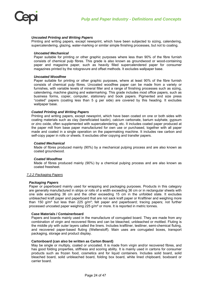![](_page_23_Picture_0.jpeg)

#### *Uncoated Printing and Writing Papers*

Printing and writing papers, except newsprint, which have been subjected to sizing, calendering, supercalendering, glazing, water-marking or similar simple finishing processes, but not to coating.

#### *Uncoated Mechanical*

Paper suitable for printing or other graphic purposes where less than 90% of the fibre furnish consists of chemical pulp fibres. This grade is also known as groundwood or wood-containing paper and magazine paper, such as heavily filled supercalendered paper for consumer magazines printed by the rotogravure and offset methods. It excludes wallpaper base.

#### *Uncoated Woodfree*

Paper suitable for printing or other graphic purposes, where at least 90% of the fibre furnish consists of chemical pulp fibres. Uncoated woodfree paper can be made from a variety or furnishes, with variable levels of mineral filler and a range of finishing processes such as sizing, calendering, machine glazing and watermarking. This grade includes most office papers, such as business forms, copier, computer, stationery and book papers. Pigmented and size press "coated" papers (coating less than 5 g per side) are covered by this heading. It excludes wallpaper base.

#### *Coated Printing and Writing Papers*

Printing and writing papers, except newsprint, which have been coated on one or both sides with coating materials such as clay (beneficiated kaolin), calcium carbonate, barium sulphate, gypsum or zinc oxide, often supplemented with supercalendering, etc. It includes coated paper produced at the paper mill from base paper manufactured for own use or purchased, together with all paper made and coated in a single operation on the papermaking machine. It includes raw carbon and self-copy paper in rolls or sheets. It excludes other copying and transfer papers.

#### *Coated Mechanical*

Made of fibres produced mainly (90%) by a mechanical pulping process and are also known as coated groundwood.

#### *Coated Woodfree*

Made of fibres produced mainly (90%) by a chemical pulping process and are also known as coated freesheet.

#### *7.2.2 Packaging Papers*

#### *Packaging Papers*

Paper or paperboard mainly used for wrapping and packaging purposes. Products in this category are generally manufactured in strips or rolls of a width exceeding 36 cm or in rectangular sheets with one side exceeding 36 cm and the other exceeding 15 cm in the unfolded state. It excludes unbleached kraft paper and paperboard that are not sack kraft paper or Kraftliner and weighing more than 150 g/m<sup>2</sup> but less than 225 g/m<sup>2</sup>; felt paper and paperboard; tracing papers; not further processed uncoated paper weighing 225 g/m² or more. It is reported in metric tonnes.

#### **Case Materials / Containerboard**

Papers and boards mainly used in the manufacture of corrugated board. They are made from any combination of virgin and recovered fibres and can be bleached, unbleached or mottled. Fluting is the middle ply with outer layers called the liners. Includes kraftliner, testliner, semi-chemical fluting, and recovered paper-based fluting (Wellenstoff). Main uses are corrugated boxes, transport packaging, storage and product display.

#### **Cartonboard (can also be written as Carton Board)**

May be single or multiply, coated or uncoated. It is made from virgin and/or recovered fibres, and has good folding properties, stiffness and scoring ability. It is mainly used in cartons for consumer products such as frozen food, cosmetics and for liquid containers. Includes solid board, solid bleached board, solid unbleached board, folding box board, white lined chipboard, boxboard or carrier board.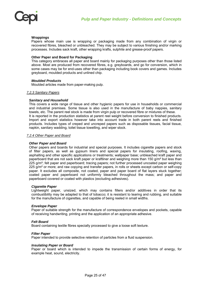![](_page_24_Picture_0.jpeg)

#### **Wrappings**

Papers whose main use is wrapping or packaging made from any combination of virgin or recovered fibres, bleached or unbleached. They may be subject to various finishing and/or marking processes. Includes sack kraft, other wrapping krafts, sulphite and grease-proof papers.

#### **Other Paper and Board for Packaging**

This category embraces all paper and board mainly for packaging purposes other than those listed above. Most are produced from recovered fibres, e.g. greyboards, and go for conversion, which in some cases may be for end-uses other than packaging including book covers and games. Includes greyboard, moulded products and unlined chip.

#### *Moulded Products*

Moulded articles made from paper-making pulp.

#### *7.2.3 Sanitary Papers*

#### *Sanitary and Household*

This covers a wide range of tissue and other hygienic papers for use in households or commercial and industrial premises. Some tissue is also used in the manufacture of baby nappies, sanitary towels, etc. The parent reel stock is made from virgin pulp or recovered fibre or mixtures of these. It is reported in the production statistics at parent reel weight before conversion to finished products. Import and export statistics however take into account trade in both parent reels and finished products. Includes types of creped and uncreped papers such as disposable tissues, facial tissue, napkin, sanitary wadding, toilet tissue towelling, and wiper stock.

#### *7.2.4 Other Paper and Board*

#### *Other Paper and Board*

Other papers and boards for industrial and special purposes. It includes cigarette papers and stock of filter papers, as well as gypsum liners and special papers for insulating, roofing, waxing, asphalting and other specific applications or treatments; wallpaper base; unbleached kraft paper and paperboard that are not sack kraft paper or kraftliner and weighing more than 150 g/m<sup>2</sup> but less than 225 g/m<sup>2</sup>; felt paper and paperboard; tracing papers; not further processed uncoated paper weighing  $225$  g/m<sup>2</sup> or more; and raw copying and transfer papers, in rolls or sheets except carbon or self-copy paper. It excludes all composite, not coated, paper and paper board of flat layers stuck together; coated paper and paperboard not uniformly bleached throughout the mass; and paper and paperboard covered or coated with plastics (excluding adhesives).

#### *Cigarette Paper*

Lightweight paper, unsized, which may contains fillers and/or additives in order that its combustibility may be adapted to that of tobacco; it is resistant to tearing and rubbing, and suitable for the manufacture of cigarettes, and capable of being reeled in small widths.

#### *Envelope Paper*

Paper of suitable strength for the manufacture of correspondence envelopes and pockets, capable of receiving handwriting, printing and the application of an appropriate adhesive.

#### *Felt Board*

Board containing textile fibres specially processed to give a loose soft texture.

#### *Filter Paper*

Paper intended to provide selective retention of particles from a fluid suspension.

#### *Insulating Paper or Board*

Paper or board which is intended to impede the transmission of certain forms of energy, for example heat, sound, electricity.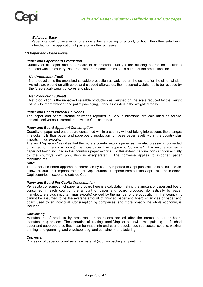![](_page_25_Picture_0.jpeg)

#### *Wallpaper Base*

Paper intended to receive on one side either a coating or a print, or both, the other side being intended for the application of paste or another adhesive.

#### *7.3 Paper and Board Flows*

#### *Paper and Paperboard Production*

Quantity of all paper and paperboard of commercial quality (fibre building boards not included) produced within a country. Net production represents the saleable output of the production line.

#### *Net Production (Roll)*

Net production is the unpacked saleable production as weighed on the scale after the slitter winder. As rolls are wound up with cores and plugged afterwards, the measured weight has to be reduced by the (theoretical) weight of cores and plugs.

#### *Net Production (Sheet)*

Net production is the unpacked saleable production as weighed on the scale reduced by the weight of pallets, ream wrapper and pallet packaging, if this is included in the weighted mass.

#### *Paper and Board Internal Deliveries*

The paper and board internal deliveries reported in Cepi publications are calculated as follow: domestic deliveries + internal trade within Cepi countries.

#### *Paper and Board Apparent Consumption*

Quantity of paper and paperboard consumed within a country without taking into account the changes in stocks. It is thus paper and paperboard production (on base paper level) within the country plus imports minus exports.

The word "apparent" signifies that the more a country exports paper as manufactures (ie: in converted or printed form, such as books), the more paper it will appear to "consume". This results from such paper not being included in that country's paper exports. To this extent, national consumption actually by the country's own population is exaggerated. The converse applies to imported paper manufactures.

#### *Note:*

The paper and board apparent consumption by country reported in Cepi publications is calculated as follow: production + imports from other Cepi countries + imports from outside Cepi – exports to other Cepi countries – exports to outside Cepi

#### *Paper and Board Per Capita Consumption*

Per capita consumption of paper and board here is a calculation taking the amount of paper and board consumed in each country (the amount of paper and board produced domestically by paper manufacturers plus imports minus exports) divided by the number of the population in that country. It cannot be assumed to be the average amount of finished paper and board or articles of paper and board used by an individual. Consumption by companies, and more broadly the whole economy, is included.

#### *Converting*

Manufacture of products by processes or operations applied after the normal paper or board manufacturing process. The operation of treating, modifying, or otherwise manipulating the finished paper and paperboard so that it can be made into end-user products, such as special coating, waxing, printing, and gumming, and envelope, bag, and container manufacturing.

#### *Converter*

Processor of paper or board as a raw material (such as packaging, printing).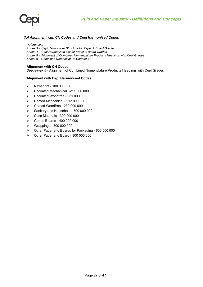![](_page_26_Picture_0.jpeg)

#### *7.4 Alignment with CN Codes and Cepi Harmonised Codes*

#### *References:*

- *Annex 3 Cepi Harmonised Structure for Paper & Board Grades*
- *Annex 4 Cepi Harmonised List for Paper & Board Grades*
- *Annex 5 Alignment of Combined Nomenclature Products Headings with Cepi Grades*
- *Annex 8 Combined Nomenclature Chapter 48*

#### **Alignment with CN Codes**

*See Annex 5* - Alignment of Combined Nomenclature Products Headings with Cepi Grades

#### **Alignment with Cepi Harmonised Codes**

- $\triangleright$  Newsprint 100 000 000
- De Uncoated Mechanical -211 000 000
- $\blacktriangleright$  Uncoated Woodfree 231 000 000
- $\triangleright$  Coated Mechanical 212 000 000
- $\blacktriangleright$  Coated Woodfree 232 000 000
- $\geq$  Sanitary and Household 700 000 000
- $\triangleright$  Case Materials 300 000 000
- Carton Boards 400 000 000
- $\triangleright$  Wrappings 500 000 000
- Other Paper and Boards for Packaging 600 000 000
- Other Paper and Board 800 000 000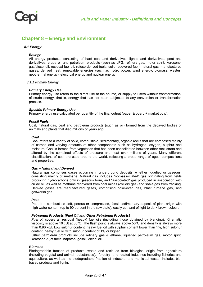![](_page_27_Picture_0.jpeg)

# **Chapter 8 – Energy and Environment**

#### *8.1 Energy*

#### *Energy*

All energy products, consisting of hard coal and derivatives, lignite and derivatives, peat and derivatives, crude oil and petroleum products (such as LPG, refinery gas, motor spirit, kerosene, gas/diesel oil, residual fuel oil, refuse-derived-fuels, solid-recovered-fuel), natural gas, manufactured gases, derived heat, renewable energies (such as hydro power, wind energy, biomass, wastes, geothermal energy), electrical energy and nuclear energy.

#### *8.1.1 Primary Energy*

#### *Primary Energy Use*

Primary energy use refers to the direct use at the source, or supply to users without transformation, of crude energy, that is, energy that has not been subjected to any conversion or transformation process.

#### *Specific Primary Energy Use*

Primary energy use calculated per quantity of the final output (paper & board + market pulp).

#### *Fossil Fuels*

Coal, natural gas, peat and petroleum products (such as oil) formed from the decayed bodies of animals and plants that died millions of years ago.

#### *Coal*

Coal refers to a variety of solid, combustible, sedimentary, organic rocks that are composed mainly of carbon and varying amounts of other components such as hydrogen, oxygen, sulphur and moisture. Coal is formed from vegetation that has been consolidated between other rock strata and altered by the combined effects of pressure and heat over millions of years. Many different classifications of coal are used around the world, reflecting a broad range of ages, compositions and properties.

#### *Gas – Natural and Derived*

Natural gas comprises gases occurring in underground deposits, whether liquefied or gaseous, consisting mainly of methane. Natural gas includes "non-associated" gas originating from fields producing hydrocarbons only in gaseous form, and "associated" gas produced in association with crude oil, as well as methane recovered from coal mines (colliery gas) and shale gas from fracking. Derived gases are manufactured gases, comprising coke-oven gas, blast furnace gas, and gasworks gas.

#### *Peat*

Peat is a combustible soft, porous or compressed, fossil sedimentary deposit of plant origin with high water content (up to 90 percent in the raw state), easily cut, and of light to dark brown colour.

#### *Petroleum Products (Fuel Oil and Other Petroleum Products)*

*Fuel oil* covers all residual (heavy) fuel oils (including those obtained by blending). Kinematic viscosity is above 10 cSt at 80°C. The flash point is always above 50°C and density is always more than 0.90 kg/l. Low sulphur content: heavy fuel oil with sulphur content lower than 1%, high sulphur content: heavy fuel oil with sulphur content of 1% or higher.

*Other petroleum products* include refinery gas & ethane, liquefied petroleum gas, motor spirit, kerosene & jet fuels, naphtha, gasoil, diesel oil.

#### *Biomass*

Biodegradable fraction of products, waste and residues from biological origin from agriculture (including vegetal and animal substances), forestry and related industries including fisheries and aquaculture, as well as the biodegradable fraction of industrial and municipal waste. Includes biobased products and lignin.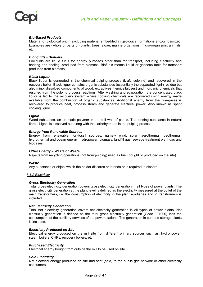![](_page_28_Picture_0.jpeg)

#### *Bio-Based Products*

Material of biological origin excluding material embedded in geological formations and/or fossilized. Examples are (whole or parts of) plants, trees, algae, marine organisms, micro-organisms, animals, etc.

#### *Bioliquids - Biofuels*

Bioliquids are liquid fuels for energy purposes other than for transport, including electricity and heating and cooling, produced from biomass. Biofuels means liquid or gaseous fuels for transport produced from biomass.

#### *Black Liquor*

Black liquor is generated in the chemical pulping process (kraft, sulphite) and recovered in the recovery boiler. Black liquor contains organic substances (essentially the separated lignin residue but also minor dissolved components of wood: extractives, hemicelluloses) and inorganic chemicals that resulted from the pulping process reactions. After washing and evaporation, the concentrated black liquor is led to the recovery system where cooking chemicals are recovered using energy made available from the combustion of organic substances. Additional energy from the flue-gases is recovered to produce heat, process steam and generate electrical power. Also known as spent cooking liquor.

#### *Lignin*

Wood substance, an aromatic polymer in the cell wall of plants. The binding substance in natural fibres. Lignin is dissolved out along with the carbohydrates in the pulping process.

#### *Energy from Renewable Sources*

Energy from renewable non-fossil sources, namely wind, solar, aerothermal, geothermal, hydrothermal and ocean energy, hydropower, biomass, landfill gas, sewage treatment plant gas and biogases.

#### *Other Energy – Waste of Waste*

Rejects from recycling operations (not from pulping) used as fuel (bought or produced on the site).

#### *Waste*

Any substance or object which the holder discards or intends or is required to discard.

#### *8.1.2 Electricity*

#### *Gross Electricity Generation*

Total gross electricity generation covers gross electricity generation in all types of power plants. The gross electricity generation at the plant level is defined as the electricity measured at the outlet of the main transformers, i.e. the consumption of electricity in the plant auxiliaries and in transformers is included.

#### *Net Electricity Generation*

Total net electricity generation covers net electricity generation in all types of power plants. Net electricity generation is defined as the total gross electricity generation (Code 107000) less the consumption of the auxiliary services of the power stations. The generation in pumped storage plants is included.

#### *Electricity Produced on Site*

Electrical energy produced on the mill site from different primary sources such as: hydro power, steam boilers, CHPs, recovery boilers, etc.

#### *Purchased Electricity*

Electrical energy bought from outside the mill to be used on site.

#### *Sold Electricity*

Net electrical energy produced on site and sent (sold) to the public grid network or other electricity consumers.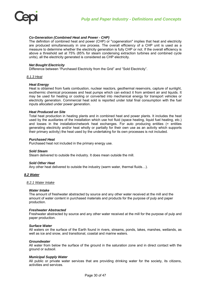![](_page_29_Picture_0.jpeg)

#### *Co-Generation (Combined Heat and Power - CHP)*

The definition of combined heat and power (CHP) or "cogeneration" implies that heat and electricity are produced simultaneously in one process. The overall efficiency of a CHP unit is used as a measure to determine whether the electricity generation is fully CHP or not. If the overall efficiency is above a threshold set at 75% (85% for steam condensing extraction turbines and combined cycle units), all the electricity generated is considered as CHP electricity.

#### *Net Bought Electricity*

Difference between "Purchased Electricity from the Grid" and "Sold Electricity".

#### *8.1.3 Heat*

#### *Heat Energy*

Heat is obtained from fuels combustion, nuclear reactors, geothermal reservoirs, capture of sunlight, exothermic chemical processes and heat pumps which can extract it from ambient air and liquids. It may be used for heating or cooling or converted into mechanical energy for transport vehicles or electricity generation. Commercial heat sold is reported under total final consumption with the fuel inputs allocated under power generation.

#### *Heat Produced on Site*

Total heat production in heating plants and in combined heat and power plants. It includes the heat used by the auxiliaries of the installation which use hot fluid (space heating, liquid fuel heating, etc.) and losses in the installation/network heat exchanges. For auto producing entities (= entities generating electricity and/or heat wholly or partially for their own use as an activity which supports their primary activity) the heat used by the undertaking for its own processes is not included.

#### *Purchased Heat*

Purchased heat not included in the primary energy use.

#### *Sold Steam*

Steam delivered to outside the industry. It does mean outside the mill.

#### *Sold Other Heat*

Any other heat delivered to outside the industry (warm water, thermal fluids…).

#### *8.2 Water*

#### *8.2.1 Water Intake*

#### *Water Intake*

The amount of freshwater abstracted by source and any other water received at the mill and the amount of water content in purchased materials and products for the purpose of pulp and paper production.

#### *Freshwater Abstracted*

Freshwater abstracted by source and any other water received at the mill for the purpose of pulp and paper production.

#### *Surface Water*

All waters on the surface of the Earth found in rivers, streams, ponds, lakes, marshes, wetlands, as well as ice and snow, and transitional, coastal and marine waters.

#### *Groundwater*

All water from below the surface of the ground in the saturation zone and in direct contact with the ground or subsoil.

#### *Municipal Supply Water*

All public or private water services that are providing drinking water for the society, its citizens, activities and services.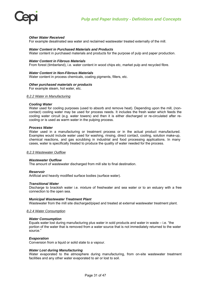![](_page_30_Picture_0.jpeg)

#### *Other Water Received*

For example desalinated sea water and reclaimed wastewater treated externally of the mill.

#### *Water Content in Purchased Materials and Products*

Water content in purchased materials and products for the purpose of pulp and paper production.

#### *Water Content in Fibrous Materials*

From forest (timberland), i.e. water content in wood chips etc, market pulp and recycled fibre.

#### *Water Content in Non-Fibrous Materials*

Water content in process chemicals, coating pigments, fillers, etc.

#### *Other purchased materials or products*

For example steam, hot water, etc.

#### *8.2.2 Water in Manufacturing*

#### *Cooling Water*

Water used for cooling purposes (used to absorb and remove heat). Depending upon the mill, (noncontact) cooling water may be used for process needs. It includes the fresh water which feeds the cooling water circuit (e.g. water towers) and then it is either discharged or re-circulated after recooling or is used as warm water in the pulping process.

#### *Process Water*

Water used in a manufacturing or treatment process or in the actual product manufactured. Examples would include water used for washing, rinsing, direct contact, cooling, solution make-up, chemical reactions, and gas scrubbing in industrial and food processing applications. In many cases, water is specifically treated to produce the quality of water needed for the process.

#### *8.2.3 Wastewater Outflow*

#### *Wastewater Outflow*

The amount of wastewater discharged from mill site to final destination.

#### *Reservoir*

Artificial and heavily modified surface bodies (surface water).

#### *Transitional Water*

Discharge to brackish water i.e. mixture of freshwater and sea water or to an estuary with a free connection to the open sea.

#### *Municipal Wastewater Treatment Plant*

Wastewater from the mill site discharged/piped and treated at external wastewater treatment plant.

#### *8.2.4 Water Consumption*

#### *Water Consumption*

Equals water lost during manufacturing plus water in sold products and water in waste  $-$  i.e. "the portion of the water that is removed from a water source that is not immediately returned to the water source."

#### *Evaporation*

Conversion from a liquid or solid state to a vapour.

#### *Water Lost during Manufacturing*

Water evaporated to the atmosphere during manufacturing, from on-site wastewater treatment facilities and any other water evaporated to air or lost to soil.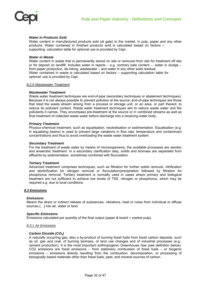![](_page_31_Picture_0.jpeg)

#### *Water in Products Sold*

Water content in manufactured products sold (at gate) to the market, in pulp, paper and any other products. Water contained in finished products sold is calculated based on factors – supporting calculation table for optional use is provided by Cepi.

#### *Water in Waste*

Water content in waste that is permanently stored on site or removed from site for treatment off site or for deposit on landfill. Includes water in rejects – e.g. contrary bale content –, water in sludge – from paper production, de-inking, wastewater – and water in any other solid residual. Water contained in waste is calculated based on factors – supporting calculation table for optional use is provided by Cepi.

#### *8.2.5 Wastewater Treatment*

#### *Wastewater Treatment*

Waste water treatment techniques are end-of-pipe (secondary techniques or abatement techniques). Because it is not always possible to prevent pollution at the source, end-of-pipe techniques are those that treat the waste stream arising from a process or storage unit, or an area, or part thereof, to reduce its pollutant content. Waste water treatment techniques aim to reduce waste water and the pollutants it carries. They encompass pre-treatment at the source or in combined streams as well as final treatment of collected waste water before discharge into a receiving water body.

#### *Primary Treatment*

Physico-chemical treatment, such as equalisation, neutralisation or sedimentation. Equalisation (e.g. in equalising basins) is used to prevent large variations in flow rate, temperature and contaminant concentrations and thus to avoid overloading the waste water treatment system.

#### *Secondary Treatment*

For the treatment of waste water by means of microorganisms, the available processes are aerobic and anaerobic treatment. In a secondary clarification step, solids and biomass are separated from effluents by sedimentation, sometimes combined with flocculation.

#### *Tertiary Treatment*

Advanced treatment comprises techniques, such as filtration for further solids removal, nitrification and denitrification for nitrogen removal or flocculation/precipitation followed by filtration for phosphorus removal. Tertiary treatment is normally used in cases where primary and biological treatment are not sufficient to achieve low levels of TSS, nitrogen or phosphorus, which may be required e.g. due to local conditions.

#### *8.3 Emissions*

#### *Emissions*

Means the direct or indirect release of substances, vibrations, heat or noise from individual or diffuse sources […] into air, water or land.

#### *Specific Emissions*

Emissions calculated per quantity of the final output (paper & board + market pulp).

#### *8.3.1 Air Emissions*

#### Carbon Dioxide (CO<sub>2</sub>)

A naturally occurring gas, also a by-product of burning fossil fuels from fossil carbon deposits, such as oil, gas and coal, of burning biomass, of land use changes and of industrial processes (e.g., cement production). It is the most important anthropogenic Greenhouse Gas (see definition below). CO2 emissions are fossil emissions – from stationery combustion of fossil fuels – or biogenic emissions – emissions directly resulting from the combustion, decomposition, or processing of biologically based materials other than fossil fuels, peat, and mineral sources of carbon.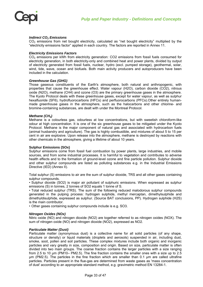![](_page_32_Picture_0.jpeg)

#### *Indirect CO2 Emissions*

 $CO<sub>2</sub>$  emissions from net bought electricity, calculated as "net bought electricity" multiplied by the "electricity emissions factor" applied in each country. The factors are reported in Annex 11.

#### *Electricity Emissions Factors*

CO<sub>2</sub> emissions per kWh from electricity generation: CO2 emissions from fossil fuels consumed for electricity generation, in both electricity-only and combined heat and power plants, divided by output of electricity generated from fossil fuels, nuclear, hydro (excl. pumped storage), geothermal, solar, wind, tide, wave, ocean and biofuels. Both main activity producers and autoproducers have been included in the calculation.

#### *Greenhouse Gas (GHG)*

Those gaseous constituents of the Earth's atmosphere, both natural and anthropogenic, with properties that cause the greenhouse effect. Water vapour (H2O), carbon dioxide (CO2), nitrous oxide (N2O), methane (CH4) and ozone (O3) are the primary greenhouse gases in the atmosphere. The Kyoto Protocol deals with these greenhouse gases, except for water vapour, as well as sulphur hexafluoride (SF6), hydrofluorocarbons (HFCs) and perfluorocarbons (PFCs).Other entirely humanmade greenhouse gases in the atmosphere, such as the halocarbons and other chlorine- and bromine-containing substances, are dealt with under the Montreal Protocol.

#### *Methane (CH4)*

Methane is a colourless gas, odourless at low concentrations, but with sweetish chloroform-like odour at high concentration. It is one of the six greenhouse gases to be mitigated under the Kyoto Protocol. Methane is the major component of natural gas and associated with hydrocarbon fuels (animal husbandry and agriculture). The gas is highly combustible, and mixtures of about 5 to 15 per cent in air are explosive. Upon release into the atmosphere, methane is destroyed by reactions with other chemicals in the atmosphere, giving a lifetime of about 10 years.

#### **Sulphur Emissions (SOx)**

Sulphur emissions come from fossil fuel combustion by power plants, large industries, and mobile sources, and from some industrial processes. It is harmful to vegetation and contributes to adverse health effects and to the formation of ground-level ozone and fine particle pollution. Sulphur dioxide and other sulphur compounds are listed as polluting substances e.g. in the Industrial Emissions Directive (IED) (Annex II).

Total sulphur (S) emissions to air are the sum of sulphur dioxide, TRS and all other gases containing sulphur compounds.

• Sulphur dioxide (SO2) is major air pollutant of sulphuric emissions. When expressed as sulphur emissions (S) in tonnes, 2 tonnes of SO2 equals 1 tonne of S.

• Total reduced sulphur (TRS). The sum of the following reduced malodorous sulphur compounds generated in the pulping process: hydrogen sulphide, methyl mercaptan, dimethylsulphide and dimethyldisulphide, expressed as sulphur. (Source BAT conclusions, PP). Hydrogen sulphide (H2S) is the main contributor.

• Other gases containing sulphur compounds include is e.g. SO3.

#### *Nitrogen Oxides (NOx)*

Nitric oxide (NO) and nitrogen dioxide (NO2) are together referred to as nitrogen oxides (NOX). The sum of nitrogen oxide (NO) and nitrogen dioxide (NO2), expressed as NO2.

#### *Particulate Matter (Dust)*

Particulate matter (synonymous dust) is a collective name for all solid particles (of any shape, structure or density) or liquid materials (droplets and aerosols) suspended in air, including dust, smoke, soot, pollen and soil particles. These complex mixtures include both organic and inorganic particles and vary greatly in size, composition and origin. Based on size, particulate matter is often divided into two main groups. The coarse fraction contains the larger particles with a size ranging from 2.5 to 10 μm (PM10– PM2.5). The fine fraction contains the smaller ones with a size up to 2.5 μm (PM2.5). The particles in the fine fraction which are smaller than 0.1 μm are called ultrafine particles. Particles present in the flue-gas are determined from waste gases as 'mass concentration of dust' according to an appropriate standard method, e.g. gravimetric method EN 13284-1.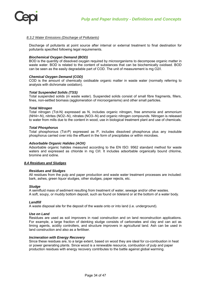![](_page_33_Picture_0.jpeg)

#### *8.3.2 Water Emissions (Discharge of Pollutants)*

Discharge of pollutants at point source after internal or external treatment to final destination for pollutants specified following legal requirements.

#### *Biochemical Oxygen Demand (BOD)*

BOD is the quantity of dissolved oxygen required by microorganisms to decompose organic matter in waste water. BOD is related to the content of substances that can be biochemically oxidised. BOD can be seen as the easily degradable part of COD. The unit of measurement is mg O2/l.

#### *Chemical Oxygen Demand (COD)*

COD is the amount of chemically oxidisable organic matter in waste water (normally referring to analysis with dichromate oxidation).

#### *Total Suspended Solids (TSS)*

Total suspended solids (in waste water). Suspended solids consist of small fibre fragments, fillers, fines, non-settled biomass (agglomeration of microorganisms) and other small particles.

#### *Total Nitrogen*

Total nitrogen (Tot-N) expressed as N, includes organic nitrogen, free ammonia and ammonium (NH4+-N), nitrites (NO2--N), nitrates (NO3--N) and organic nitrogen compounds. Nitrogen is released to water from mills due to the content in wood, use in biological treatment plant and use of chemicals.

#### *Total Phosphorus*

Total phosphorous (Tot-P) expressed as P, includes dissolved phosphorus plus any insoluble phosphorus carried over into the effluent in the form of precipitates or within microbes.

#### *Adsorbable Organic Halides (AOX)*

Adsorbable organic halides measured according to the EN ISO: 9562 standard method for waste waters and expressed as chloride in mg CI/I. It includes adsorbable organically bound chlorine, bromine and iodine.

#### *8.4 Residues and Sludges*

#### *Residues and Sludges*

All residues from the pulp and paper production and waste water treatment processes are included: bark, ashes, green liquor sludges, other sludges, paper rejects, etc.

#### *Sludge*

A semifluid mass of sediment resulting from treatment of water, sewage and/or other wastes. A soft, soupy, or muddy bottom deposit, such as found on tideland or at the bottom of a water body.

#### *Landfill*

A waste disposal site for the deposit of the waste onto or into land (i.e. underground).

#### *Use on Land*

Residues are used as soil improvers in road construction and on land reconstruction applications. For example, a large fraction of deinking sludge consists of carbonates and clay and can act as liming agents, acidity controllers, and structure improvers in agricultural land. Ash can be used in land construction and also as a fertiliser.

#### *Incineration with Energy Recovery*

Since these residues are, to a large extent, based on wood they are ideal for co-combustion in heat or power generating plants. Since wood is a renewable resource, combustion of pulp and paper production residues with energy recovery contributes to the battle against global warming.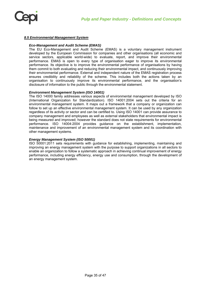![](_page_34_Picture_0.jpeg)

#### *8.5 Environmental Management System*

#### *Eco-Management and Audit Scheme (EMAS)*

The EU Eco-Management and Audit Scheme (EMAS) is a voluntary management instrument developed by the European Commission for companies and other organisations (all economic and service sectors, applicable world-wide) to evaluate, report, and improve their environmental performance. EMAS is open to every type of organisation eager to improve its environmental performance. Its objective is to improve the environmental performance of organisations by having them commit to both evaluating and reducing their environmental impact, and continuously improving their environmental performance. External and independent nature of the EMAS registration process ensures credibility and reliability of the scheme. This includes both the actions taken by an organisation to continuously improve its environmental performance, and the organisation's disclosure of information to the public through the environmental statement.

#### *Environment Management System (ISO 14001)*

The ISO 14000 family addresses various aspects of environmental management developed by ISO (International Organization for Standardization). ISO 14001:2004 sets out the criteria for an environmental management system. It maps out a framework that a company or organization can follow to set up an effective environmental management system. It can be used by any organization regardless of its activity or sector and can be certified to. Using ISO 14001 can provide assurance to company management and employees as well as external stakeholders that environmental impact is being measured and improved; however the standard does not state requirements for environmental performance. ISO 14004:2004 provides guidance on the establishment, implementation, maintenance and improvement of an environmental management system and its coordination with other management systems.

#### *Energy Management System (ISO 50001)*

ISO 50001:2011 sets requirements with guidance for establishing, implementing, maintaining and improving an energy management system with the purpose to support organizations in all sectors to enable an organization to follow a systematic approach in achieving continual improvement of energy performance, including energy efficiency, energy use and consumption, through the development of an energy management system.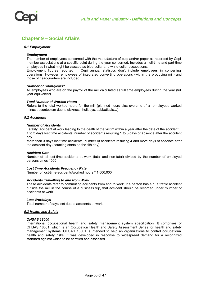![](_page_35_Picture_0.jpeg)

# **Chapter 9 – Social Affairs**

#### *9.1 Employment*

#### *Employment*

The number of employees concerned with the manufacture of pulp and/or paper as recorded by Cepi member associations at a specific point during the year concerned. Includes all full-time and part-time employees in what might be classed as blue-collar and white-collar occupations.

Employment figures reported in Cepi annual statistics don't include employees in converting operations. However, employees of integrated converting operations (within the producing mill) and those of headquarters are included.

#### *Number of "Man-years"*

All employees who are on the payroll of the mill calculated as full time employees during the year (full year equivalent)

#### *Total Number of Worked Hours*

Refers to the total worked hours for the mill (planned hours plus overtime of all employees worked minus absenteeism due to sickness, holidays, sabbaticals…)

#### *9.2 Accidents*

#### *Number of Accidents*

Fatality: accident at work leading to the death of the victim within a year after the date of the accident 1 to 3 days lost time accidents: number of accidents resulting 1 to 3 days of absence after the accident day

More than 3 days lost time accidents: number of accidents resulting 4 and more days of absence after the accident day (counting starts on the 4th day)

#### *Accident Rate*

Number of all lost-time-accidents at work (fatal and non-fatal) divided by the number of employed persons times 1000

#### *Lost Time Accidents Frequency Rate*

Number of lost-time-accidents/worked hours \* 1,000,000

#### *Accidents Travelling to and from Work*

These accidents refer to commuting accidents from and to work. If a person has e.g. a traffic accident outside the mill in the course of a business trip, that accident should be recorded under "number of accidents at work".

#### *Lost Workdays*

Total number of days lost due to accidents at work

#### *9.3 Health and Safety*

#### *OHSAS 18000*

International occupational health and safety management system specification. It comprises of OHSAS 18001, which is an Occupation Health and Safety Assessment Series for health and safety management systems. OHSAS 18001 is intended to help an organizations to control occupational health and safety risks. It was developed in response to widespread demand for a recognized standard against which to be certified and assessed.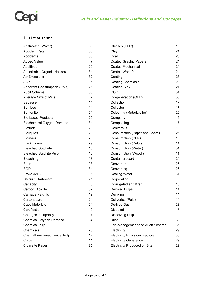![](_page_36_Picture_0.jpeg)

# **I - List of Terms**

| Abstracted (Water)               | 30 | Classes (PFR)                        | 16 |
|----------------------------------|----|--------------------------------------|----|
| <b>Accident Rate</b>             | 36 | Clay                                 | 21 |
| Accidents                        | 36 | Coal                                 | 28 |
| <b>Added Value</b>               | 7  | <b>Coated Graphic Papers</b>         | 24 |
| Additives                        | 20 | <b>Coated Mechanical</b>             | 24 |
| Adsorbable Organic Halides       | 34 | <b>Coated Woodfree</b>               | 24 |
| Air Emissions                    | 32 | Coating                              | 23 |
| <b>AOX</b>                       | 34 | <b>Coating Chemicals</b>             | 20 |
| Apparent Consumption (P&B)       | 26 | <b>Coating Clay</b>                  | 21 |
| <b>Audit Scheme</b>              | 35 | COD                                  | 34 |
| Average Size of Mills            | 7  | Co-generation (CHP)                  | 30 |
| <b>Bagasse</b>                   | 14 | Collection                           | 17 |
| Bamboo                           | 14 | Collector                            | 17 |
| <b>Bentonite</b>                 | 21 | Colouring (Materials for)            | 20 |
| <b>Bio-based Products</b>        | 29 | Company                              | 6  |
| <b>Biochemical Oxygen Demand</b> | 34 | Composting                           | 17 |
| <b>Biofuels</b>                  | 29 | Coniferous                           | 10 |
| <b>Bioliquids</b>                | 29 | Consumption (Paper and Board)        | 26 |
| <b>Biomass</b>                   | 28 | Consumption (PFR)                    | 16 |
| <b>Black Liquor</b>              | 29 | Consumption (Pulp)                   | 14 |
| <b>Bleached Sulphate</b>         | 13 | Consumption (Water)                  | 31 |
| <b>Bleached Sulphite Pulp</b>    | 13 | Consumption (Wood)                   | 11 |
| Bleaching                        | 13 | Containerboard                       | 24 |
| <b>Board</b>                     | 23 | Converter                            | 26 |
| <b>BOD</b>                       | 34 | Converting                           | 26 |
| Broke (Mill)                     | 16 | <b>Cooling Water</b>                 | 31 |
| <b>Calcium Carbonate</b>         | 21 | Corporation                          | 5  |
| Capacity                         | 6  | Corrugated and Kraft                 | 16 |
| <b>Carbon Dioxide</b>            | 32 | <b>Deinked Pulps</b>                 | 14 |
| Carriage Paid To                 | 19 | Deinking                             | 14 |
| Cartonboard                      | 24 | Deliveries (Pulp)                    | 14 |
| <b>Case Materials</b>            | 24 | <b>Derived Gas</b>                   | 28 |
| Certification                    | 9  | Disposal                             | 17 |
| Changes in capacity              | 7  | <b>Dissolving Pulp</b>               | 14 |
| <b>Chemical Oxygen Demand</b>    | 34 | Dust                                 | 33 |
| <b>Chemical Pulp</b>             | 13 | Eco-Management and Audit Scheme      | 35 |
| Chemicals                        | 20 | Electricity                          | 29 |
| Chemi-thermomechanical Pulp      | 12 | <b>Electricity Emissions Factors</b> | 33 |
| Chips                            | 11 | <b>Electricity Generation</b>        | 29 |
| <b>Cigarette Paper</b>           | 25 | <b>Electricity Produced on Site</b>  | 29 |
|                                  |    |                                      |    |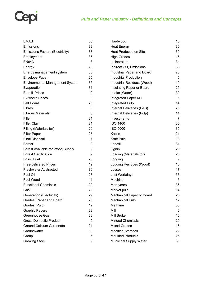# Cepi

| <b>EMAS</b>                      | 35 | Hardwood                           | 10             |
|----------------------------------|----|------------------------------------|----------------|
| Emissions                        | 32 | <b>Heat Energy</b>                 | 30             |
| Emissions Factors (Electricity)  | 33 | <b>Heat Produced on Site</b>       | 30             |
| Employment                       | 36 | <b>High Grades</b>                 | 16             |
| EN643                            | 18 | Incineration                       | 34             |
| Energy                           | 28 | Indirect CO <sub>2</sub> Emissions | 33             |
| Energy management system         | 35 | Industrial Paper and Board         | 25             |
| <b>Envelope Paper</b>            | 25 | <b>Industrial Production</b>       | 5              |
| Environmental Management System  | 35 | Industrial Residues (Wood)         | 10             |
| Evaporation                      | 31 | Insulating Paper or Board          | 25             |
| <b>Ex-mill Prices</b>            | 19 | Intake (Water)                     | 30             |
| <b>Ex-works Prices</b>           | 19 | <b>Integrated Paper Mill</b>       | 6              |
| <b>Felt Board</b>                | 25 | Integrated Pulp                    | 14             |
| <b>Fibres</b>                    | 8  | Internal Deliveries (P&B)          | 26             |
| <b>Fibrous Materials</b>         | 8  | Internal Deliveries (Pulp)         | 14             |
| Filler                           | 21 | Investments                        | $\overline{7}$ |
| <b>Filler Clay</b>               | 21 | <b>ISO 14001</b>                   | 35             |
| Filling (Materials for)          | 20 | ISO 50001                          | 35             |
| <b>Filter Paper</b>              | 25 | Kaolin                             | 21             |
| <b>Final Disposal</b>            | 17 | <b>Kraft Pulp</b>                  | 13             |
| Forest                           | 9  | Landfill                           | 34             |
| Forest Available for Wood Supply | 9  | Lignin                             | 29             |
| <b>Forest Certification</b>      | 9  | Loading (Materials for)            | 20             |
| <b>Fossil Fuel</b>               | 28 | Logging                            | 9              |
| <b>Free-delivered Prices</b>     | 19 | Logging Residues (Wood)            | 10             |
| <b>Freshwater Abstracted</b>     | 30 | Losses                             | 17             |
| Fuel Oil                         | 28 | Lost Workdays                      | 36             |
| <b>Fuel Wood</b>                 | 11 | Machine                            | 6              |
| <b>Functional Chemicals</b>      | 20 | Man-years                          | 36             |
| Gas                              | 28 | Market pulp                        | 14             |
| Generation (Electricity)         | 29 | Mechanical Paper or Board          | 23             |
| Grades (Paper and Board)         | 23 | <b>Mechanical Pulp</b>             | 12             |
| Grades (Pulp)                    | 12 | Methane                            | 33             |
| <b>Graphic Papers</b>            | 23 | Mill                               | 6              |
| Greenhouse Gas                   | 33 | <b>Mill Broke</b>                  | 16             |
| <b>Gross Domestic Product</b>    | 5  | <b>Mineral Chemicals</b>           | 20             |
| <b>Ground Calcium Carbonate</b>  | 21 | <b>Mixed Grades</b>                | 16             |
| Groundwater                      | 30 | <b>Modified Starches</b>           | 22             |
| Group                            | 5  | <b>Moulded Products</b>            | 25             |
| <b>Growing Stock</b>             | 9  | Municipal Supply Water             | 30             |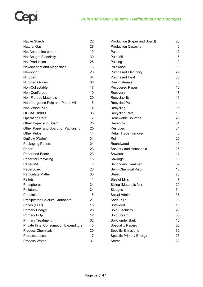![](_page_38_Picture_0.jpeg)

| <b>Native Starch</b>                         | 22             | Production (Paper and Board)   | 26             |
|----------------------------------------------|----------------|--------------------------------|----------------|
| <b>Natural Gas</b>                           | 28             | <b>Production Capacity</b>     | 6              |
| <b>Net Annual Increment</b>                  | 9              | Pulp                           | 12             |
| <b>Net Bought Electricity</b>                | 30             | Pulp Mill                      | 6              |
| <b>Net Production</b>                        | 26             | Pulping                        | 12             |
| Newspapers and Magazines                     | 16             | Pulpwood                       | 10             |
| Newsprint                                    | 23             | <b>Purchased Electricity</b>   | 29             |
| Nitrogen                                     | 34             | <b>Purchased Heat</b>          | 30             |
| Nitrogen Oxides                              | 33             | Raw materials                  | 8              |
| Non-Collectable                              | 17             | <b>Recovered Paper</b>         | 16             |
| Non-Coniferous                               | 10             | Recovery                       | 17             |
| <b>Non-Fibrous Materials</b>                 | 20             | Recyclability                  | 16             |
| Non-Integrated Pulp and Paper Mills          | 6              | <b>Recycled Pulp</b>           | 14             |
| Non-Wood Pulp                                | 14             | Recycling                      | 16             |
| <b>OHSAS 18000</b>                           | 36             | <b>Recycling Rate</b>          | 18             |
| <b>Operating Rate</b>                        | $\overline{7}$ | <b>Renewable Sources</b>       | 29             |
| Other Paper and Board                        | 25             | Reservoir                      | 31             |
| Other Paper and Board for Packaging          | 25             | <b>Residues</b>                | 34             |
| <b>Other Pulps</b>                           | 14             | <b>Retail Trade Turnover</b>   | 5              |
| Outflow (Water)                              | 31             | Roll                           | 26             |
| <b>Packaging Papers</b>                      | 24             | Roundwood                      | 10             |
| Paper                                        | 23             | Sanitary and Household         | 25             |
| Paper and Board                              | 23             | Sawdust                        | 11             |
| Paper for Recycling                          | 16             | Sawlogs                        | 10             |
| Paper Mill                                   | 6              | <b>Secondary Treatment</b>     | 32             |
| Paperboard                                   | 23             | Semi-Chemical Pulp             | 13             |
| <b>Particulate Matter</b>                    | 33             | Sheet                          | 26             |
| <b>Pellets</b>                               | 11             | Size of Mills                  | $\overline{7}$ |
| Phosphorus                                   | 34             | Sizing (Materials for)         | 20             |
| Pollutants                                   | 34             | Sludges                        | 34             |
| Population                                   | 5              | Social Affairs                 | 35             |
| <b>Precipitated Calcium Carbonate</b>        | 21             | Soda Pulp                      | 13             |
| Prices (PFR)                                 | 18             | Softwood                       | 10             |
| <b>Primary Energy</b>                        | 28             | Sold Electricity               | 29             |
| <b>Primary Pulp</b>                          | 12             | Sold Steam                     | 30             |
| <b>Primary Treatment</b>                     | 32             | Solid under Bark               | 10             |
| <b>Private Final Consumption Expenditure</b> | 5              | <b>Speciality Papers</b>       | 25             |
| <b>Process Chemicals</b>                     | 20             | <b>Specific Emissions</b>      | 32             |
| Process Losses                               | 17             | <b>Specific Primary Energy</b> | 28             |
| Process Water                                | 31             | Starch                         | 22             |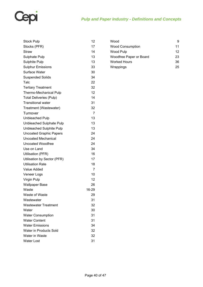# Cepi

# *Pulp and Paper Industry - Definitions and Concepts*

| <b>Stock Pulp</b>              | 12             | Wood                    | 9  |
|--------------------------------|----------------|-------------------------|----|
| Stocks (PFR)                   | 17             | <b>Wood Consumption</b> | 11 |
| <b>Straw</b>                   | 14             | Wood Pulp               | 12 |
| Sulphate Pulp                  | 13             | Woodfree Paper or Board | 23 |
| Sulphite Pulp                  | 13             | <b>Worked Hours</b>     | 36 |
| <b>Sulphur Emissions</b>       | 33             | Wrappings               | 25 |
| Surface Water                  | 30             |                         |    |
| <b>Suspended Solids</b>        | 34             |                         |    |
| Talc                           | 22             |                         |    |
| <b>Tertiary Treatment</b>      | 32             |                         |    |
| Thermo-Mechanical Pulp         | 12             |                         |    |
| <b>Total Deliveries (Pulp)</b> | 14             |                         |    |
| <b>Transitional water</b>      | 31             |                         |    |
| Treatment (Wastewater)         | 32             |                         |    |
| Turnover                       | $\overline{7}$ |                         |    |
| Unbleached Pulp                | 13             |                         |    |
| Unbleached Sulphate Pulp       | 13             |                         |    |
| Unbleached Sulphite Pulp       | 13             |                         |    |
| <b>Uncoated Graphic Papers</b> | 24             |                         |    |
| <b>Uncoated Mechanical</b>     | 24             |                         |    |
| <b>Uncoated Woodfree</b>       | 24             |                         |    |
| Use on Land                    | 34             |                         |    |
| Utilisation (PFR)              | 16             |                         |    |
| Utilisation by Sector (PFR)    | 17             |                         |    |
| <b>Utilisation Rate</b>        | 18             |                         |    |
| Value Added                    | $\overline{7}$ |                         |    |
| Veneer Logs                    | 10             |                         |    |
| Virgin Pulp                    | 12             |                         |    |
| <b>Wallpaper Base</b>          | 26             |                         |    |
| Waste                          | 16-29          |                         |    |
| Waste of Waste                 | 29             |                         |    |
| Wastewater                     | 31             |                         |    |
| <b>Wastewater Treatment</b>    | 32             |                         |    |
| Water                          | 30             |                         |    |
| <b>Water Consumption</b>       | 31             |                         |    |
| <b>Water Content</b>           | 31             |                         |    |
| <b>Water Emissions</b>         | 34             |                         |    |
| Water in Products Sold         | 32             |                         |    |
| Water in Waste                 | 32             |                         |    |
| Water Lost                     | 31             |                         |    |

| Wood                    |     |
|-------------------------|-----|
| <b>Wood Consumption</b> | 11  |
| Wood Pulp               | 12  |
| Woodfree Paper or Board | 23  |
| <b>Worked Hours</b>     | 36. |
| Wrappings               | 25  |
|                         |     |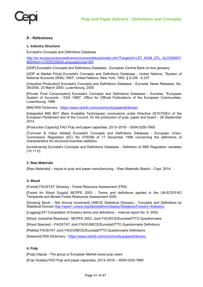![](_page_40_Picture_0.jpeg)

#### **II - References**

#### **1. Industry Structure**

Eurostat's Concepts and Definitions Database

http://ec.europa.eu/eurostat/ramon/nomenclatures/index.cfm?TargetUrl=LST\_NOM\_DTL\_GLOSSARY &StrNom=CODED2&StrLanguageCode=EN

[GDP] Eurostat's Concepts and Definitions Database - European Central Bank on-line glossary

[GDP at Market Price] Eurostat's Concepts and Definitions Database - United Nations, "System of National Accounts (SNA) 1993", United Nations, New York, 1993, § 6.236 - 6.237

[Industrial Production] Eurostat's Concepts and Definitions Database - Eurostat, News Releases, No. 38/2000, 23 March 2000, Luxembourg, 2000

[Private Final Consumption] Eurostat's Concepts and Definitions Database - Eurostat, "European System of Accounts - ESA 1995", Office for Official Publications of the European Communities, Luxembourg, 1996

[Mill] RISI Dictionary - https://www.risiinfo.com/community/paperdictionary

[Integrated Mill] BAT (Best Available Techniques) conclusions under Directive 2010/75/EU of the European Parliament and of the Council, for the production of pulp, paper and board – 26 September 2014.

[Production Capacity] FAO Pulp and paper capacities, 2013–2018 – ISSN 0255-7665

[Turnover & Value Added] Eurostat's Concepts and Definitions Database - European Union, Commission Regulation (EC) No 2700/98 of 17 December 1998 concerning the definitions of characteristics for structural business statistics.

[Investments] Eurostat's Concepts and Definitions Database - Definition of SBS Regulation variables (15 11 0).

#### **2. Raw Materials**

[Raw Materials] – Inputs to pulp and paper manufacturing – Raw Materials Sketch – Cepi, 2014

#### **3. Wood**

[Forest] FAOSTAT Glossary - Forest Resource Assessment (FRA)

[Forest for Wood Supply] MCPFE 2003 - Terms and definitions applied in the UN-ECE/FAO Temperate and Boreal Forest Resources Assessment 2000

[Growing Stock – Net Annual Increment] UNECE Statistical Glossary - Concepts and Definitions by Statistical Domain http://www1.unece.org/stat/platform/display/Statgloss/Forestry+Statistics

[Logging] EFI Compilation of forestry terms and definitions – Internal report No. 6, 2002.

[Wood Industrial Residues] - MCPFE 2003, Joint FAO/ECE/Eurostat/ITTO Questionnaire

[Wood Species] – FAOSTAT Joint FAO/UNECE/Eurostat/ITTO Questonnaire Definitions

[Pellets] FAOSTAT Joint FAO/UNECE/Eurostat/ITTO Questonnaire Definitions

[Sawdust] RISI Dictionary - https://www.risiinfo.com/community/paperdictionary

#### **4. Pulp**

[Pulp] Utipulp - The group or European Market wood pulp users.

[Pulp Grades] FAO Pulp and paper capacities, 2013–2018 – ISSN 0255-7665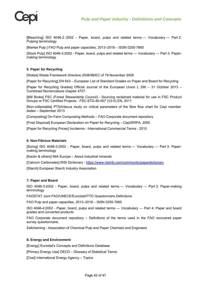![](_page_41_Picture_0.jpeg)

[Bleaching] ISO 4046-2 :2002 - Paper, board, pulps and related terms — Vocabulary — Part 2: Pulping terminology

[Market Pulp ] FAO Pulp and paper capacities, 2013–2018 – ISSN 0255-7665

[Stock Pulp] ISO 4046-3:2002 - Paper, board, pulps and related terms — Vocabulary — Part 3: Papermaking terminology

#### **5. Paper for Recycling**

[Watse] Waste Framework Directive 2008/98/EC of 19 November 2008

[Paper for Recycling] EN 643 – European List of Standard Grades on Paper and Board for Recycling

[Paper for Recycling Grades] Official Journal of the European Union L 290 – 31 October 2013 – Combined Nomenclature chapter 4707.

[Mill Broke] FSC (Forest Stewardship Council) - Sourcing reclaimed material for use in FSC Product Groups or FSC Certified Projects - FSC-STD-40-007 (V2-0) EN, 2011

[Non-collectable] PTS/Intecus study on critical parameters of the fibre flow chart for Cepi member states – September 2013

[Composting] On-Farm Composting Methods – FAO Corporate document repository

[Final Disposal] European Declaration on Paper for Recycling – Cepi/ERPA, 2000

[Paper for Recycling Prices] Incoterms - International Commercial Terms - 2010

#### **6. Non-Fibrous Materials**

[Sizing] ISO 4046-3:2002 - Paper, board, pulps and related terms — Vocabulary — Part 3: Papermaking terminology

[Kaolin & others] IMA Europe – About industrial minerals

[Calcium Carbonates] RISI Dictionary - https://www.risiinfo.com/community/paperdictionary

[Starch] European Starch Industry Association

#### **7. Paper and Board**

ISO 4046-3:2002 - Paper, board, pulps and related terms — Vocabulary — Part 3: Paper-making terminology

FAOSTAT Joint FAO/UNECE/Eurostat/ITTO Questonnaire Definitions

FAO Pulp and paper capacities, 2013–2018 – ISSN 0255-7665

ISO 4046-4:2002 - Paper, board, pulps and related terms — Vocabulary — Part 4: Paper and board grades and converted products

FAO Corporate document repository – Definitions of the terms used in the FAO recovered paper survey questionnaire.

Zellcheming - Association of Chemical Pulp and Paper Chemists and Engineers

#### **8. Energy and Environment**

[Energy] Eurostat's Concepts and Definitions Database

[Primary Energy Use] OECD – Glossary of Statistical Terms

[Coal] International Energy Agency – Topics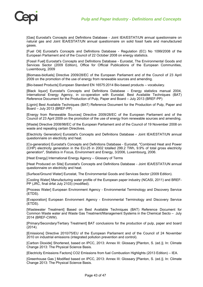![](_page_42_Picture_1.jpeg)

[Gas] Eurostat's Concepts and Definitions Database - Joint IEA/ESTAT/UN annual questionnaire on natural gas and Joint IEA/ESTAT/UN annual questionnaire on solid fossil fuels and manufactured gases.

[Fuel Oil] Eurostat's Concepts and Definitions Database - Regulation (EC) No 1099/2008 of the European Parliament and of the Council of 22 October 2008 on energy statistics.

[Fossil Fuel] Eurostat's Concepts and Definitions Database - Eurostat, The Environmental Goods and Services Sector (2009 Edition), Office for Official Publications of the European Communities, Luxembourg, 2009

[Biomass-biofuels] Directive 2009/28/EC of the European Parliament and of the Council of 23 April 2009 on the promotion of the use of energy from renewable sources and amending.

[Bio-based Products] European Standard EN 16575:2014 Bio-based products – vocabulary.

[Black liquor] Eurostat's Concepts and Definitions Database - Energy statistics manual 2004, International Energy Agency, in co-operation with Eurostat. Best Available Techniques (BAT) Reference Document for the Production of Pulp, Paper and Board – July 2013 (BREF-PP)

[Lignin] Best Available Techniques (BAT) Reference Document for the Production of Pulp, Paper and Board – July 2013 (BREF-PP)

[Energy from Renewable Sources] Directive 2009/28/EC of the European Parliament and of the Council of 23 April 2009 on the promotion of the use of energy from renewable sources and amending.

[Waste] Directive 2008/98/EC of the European Parliament and of the Council of 19 November 2008 on waste and repealing certain Directives.

[Electricity Generation] Eurostat's Concepts and Definitions Database - Joint IEA/ESTAT/UN annual questionnaire on electricity and heat.

[Co-generation] Eurostat's Concepts and Definitions Database - Eurostat, "Combined Heat and Power (CHP) electricity generation in the EU-25 in 2002 totalled 299.2 TWh, 9.9% of total gross electricity generation", Statistics in Focus, Environment and Energy, 3/2006, Luxembourg, 2006.

[Heat Energy] International Energy Agency – Glossary of Terms

[Heat Produced on Site] Eurostat's Concepts and Definitions Database - Joint IEA/ESTAT/UN annual questionnaire on electricity and heat.

[Surface/Ground Water] Eurostat, The Environmental Goods and Services Sector (2009 Edition).

[Cooling Water] Manufacturing water profile of the European paper industry (NCASI, 2011) and BREF-PP (JRC, final drfat July 2103) (modified).

[Process Water] European Environment Agency - Environmental Terminology and Discovery Service (ETDS).

[Evaporation] European Environment Agency - Environmental Terminology and Discovery Service (ETDS).

[Wastewater Treatment] Based on Best Available Techniques (BAT) Reference Document for Common Waste water and Waste Gas Treatment/Management Systems in the Chemical Secto – July 2014 (BREF-CWW).

[Primary/Secondary/Tertiary Treatment] BAT conclusions for the production of pulp, paper and board (2014).

[Emissions] Directive 2010/75/EU of the European Parliament and of the Council of 24 November 2010 on industrial emissions (integrated pollution prevention and control).

[Carbon Dioxide] Shortened, based on IPCC, 2013: Annex III: Glossary [Planton, S. (ed.)]. In: Climate Change 2013: The Physical Science Basis.

[Electricity Emissions Factors] CO2 Emissions from fuel Combustion Highlights (2013 Edition) – IEA.

[Greenhouse Gas ] Modified based on IPCC, 2013: Annex III: Glossary [Planton, S. (ed.)]. In: Climate Change 2013: The Physical Science Basis.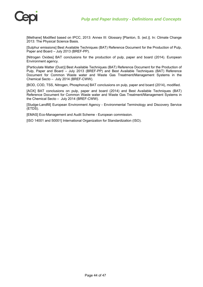![](_page_43_Picture_1.jpeg)

[Methane] Modified based on IPCC, 2013: Annex III: Glossary [Planton, S. (ed.)]. In: Climate Change 2013: The Physical Science Basis.

[Sulphur emissions] Best Available Techniques (BAT) Reference Document for the Production of Pulp, Paper and Board – July 2013 (BREF-PP).

[Nitrogen Oxides] BAT conclusions for the production of pulp, paper and board (2014). European Environment agency.

[Particulate Matter (Dust)] Best Available Techniques (BAT) Reference Document for the Production of Pulp, Paper and Board – July 2013 (BREF-PP) and Best Available Techniques (BAT) Reference Document for Common Waste water and Waste Gas Treatment/Management Systems in the Chemical Secto – July 2014 (BREF-CWW).

[BOD, COD, TSS, Nitrogen, Phosphorus] BAT conclusions on pulp, paper and board (2014), modified.

[AOX] BAT conclusions on pulp, paper and board (2014) and Best Available Techniques (BAT) Reference Document for Common Waste water and Waste Gas Treatment/Management Systems in the Chemical Secto – July 2014 (BREF-CWW).

[Sludge-Landfill] European Environment Agency - Environmental Terminology and Discovery Service (ETDS).

[EMAS] Eco-Management and Audit Scheme - European commission.

[ISO 14001 and 50001] International Organization for Standardization (ISO).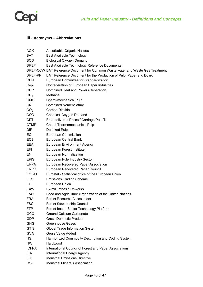![](_page_44_Picture_0.jpeg)

![](_page_44_Picture_1.jpeg)

### **III - Acronyms – Abbreviations**

| AOX             | Absorbable Organic Halides                                                     |
|-----------------|--------------------------------------------------------------------------------|
| BAT             | <b>Best Available Technology</b>                                               |
| <b>BOD</b>      | <b>Biological Oxygen Demand</b>                                                |
| <b>BREF</b>     | Best Available Technology Reference Documents                                  |
|                 | BREF-CCW BAT Reference Document for Common Waste water and Waste Gas Treatment |
| BREF-PP         | BAT Reference Document for the Production of Pulp, Paper and Board             |
| <b>CEN</b>      | European Committee for Standardization                                         |
| Cepi            | Confederation of European Paper Industries                                     |
| <b>CHP</b>      | Combined Heat and Power (Generation)                                           |
| CH <sub>4</sub> | Methane                                                                        |
| <b>CMP</b>      | Chemi-mechanical Pulp                                                          |
| <b>CN</b>       | <b>Combined Nomenclature</b>                                                   |
| CO <sub>2</sub> | Carbon Dioxide                                                                 |
| <b>COD</b>      | <b>Chemical Oxygen Demand</b>                                                  |
| <b>CPT</b>      | Free-delivered Prices / Carriage Paid To                                       |
| <b>CTMP</b>     | Chemi-Thermomechanical Pulp                                                    |
| <b>DIP</b>      | De-inked Pulp                                                                  |
| EC              | European Commission                                                            |
| <b>ECB</b>      | European Central Bank                                                          |
| <b>EEA</b>      | <b>European Environment Agency</b>                                             |
| EFI             | European Forest Institute                                                      |
| EN              | European Normalization                                                         |
| <b>EPIS</b>     | European Pulp Industry Sector                                                  |
| <b>ERPA</b>     | European Recovered Paper Association                                           |
| <b>ERPC</b>     | European Recovered Paper Council                                               |
| <b>ESTAT</b>    | Eurostat - Statistical office of the European Union                            |
| <b>ETS</b>      | <b>Emissions Trading Scheme</b>                                                |
| EU              | European Union                                                                 |
| EXW             | Ex-mill Prices / Ex-works                                                      |
| <b>FAO</b>      | Food and Agriculture Organization of the United Nations                        |
| FRA             | Forest Resource Assessment                                                     |
| <b>FSC</b>      | <b>Forest Stewardship Council</b>                                              |
| <b>FTP</b>      | Forest-based Sector Technology Platform                                        |
| GCC             | <b>Ground Calcium Carbonate</b>                                                |
| <b>GDP</b>      | <b>Gross Domestic Product</b>                                                  |
| <b>GHG</b>      | <b>Greenhouse Gases</b>                                                        |
| <b>GTIS</b>     | Global Trade Information System                                                |
| <b>GVA</b>      | <b>Gross Value Added</b>                                                       |
| HS              | Harmonized Commodity Description and Coding System                             |
| HW              | Hardwood                                                                       |
| <b>ICFPA</b>    | International Council of Forest and Paper Associations                         |
| IEA             | International Energy Agency                                                    |
| <b>IED</b>      | <b>Industrial Emissions Directive</b>                                          |
| <b>IMA</b>      | <b>Industrial Minerals Association</b>                                         |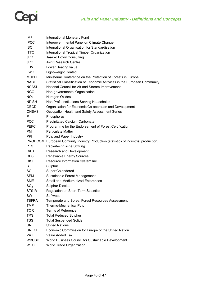# *Pulp and Paper Industry - Definitions and Concepts*

# Cepi

| IMF                   | International Monetary Fund                                                         |
|-----------------------|-------------------------------------------------------------------------------------|
| <b>IPCC</b>           | Intergovernmental Panel on Climate Change                                           |
| <b>ISO</b>            | International Organisation for Standardisation                                      |
| <b>ITTO</b>           | International Tropical Timber Organization                                          |
| <b>JPC</b>            | Jaakko Poyry Consulting                                                             |
| <b>JRC</b>            | Joint Research Centre                                                               |
| <b>LHV</b>            | Lower Heating value                                                                 |
| <b>LWC</b>            | Light-weight Coated                                                                 |
| <b>MCPFE</b>          | Ministerial Conference on the Protection of Forests in Europe                       |
| <b>NACE</b>           | Statistical Classification of Economic Activities in the European Community         |
| <b>NCASI</b>          | National Council for Air and Stream Improvement                                     |
| <b>NGO</b>            | Non-governmental Organization                                                       |
| <b>NO<sub>x</sub></b> | Nitrogen Oxides                                                                     |
| <b>NPISH</b>          | Non Profit Institutions Serving Households                                          |
| <b>OECD</b>           | Organisation for Economic Co-operation and Development                              |
| <b>OHSAS</b>          | Occupation Health and Safety Assessment Series                                      |
| P                     | Phosphorus                                                                          |
| <b>PCC</b>            | Precipitated Calcium Carbonate                                                      |
| <b>PEFC</b>           | Programme for the Endorsement of Forest Certification                               |
| <b>PM</b>             | <b>Particulate Matter</b>                                                           |
| PPI                   | Pulp and Paper Industry                                                             |
|                       | PRODCOM European Comunity Industry Production (statistics of industrial production) |
| <b>PTS</b>            | Papiertechnische Stiftung                                                           |
| R&D                   | Research and Development                                                            |
| <b>RES</b>            | Renewable Energy Sources                                                            |
| <b>RISI</b>           | Resource Information System Inc                                                     |
| S                     | Sulphur                                                                             |
| SC                    | <b>Super Calendered</b>                                                             |
| <b>SFM</b>            | Sustainable Forest Management                                                       |
| <b>SME</b>            | Small and Medium-sized Enterprises                                                  |
| SO <sub>2</sub>       | Sulphur Dioxide                                                                     |
| STS-R                 | <b>Regulation on Short-Term Statistics</b>                                          |
| SW                    | Softwood                                                                            |
| <b>TBFRA</b>          | Temporate and Boreal Forest Resources Assessment                                    |
| <b>TMP</b>            | Thermo-Mechanical Pulp                                                              |
| <b>TOR</b>            | <b>Terms of Reference</b>                                                           |
| <b>TRS</b>            | <b>Total Reduced Sulphur</b>                                                        |
| TSS                   | <b>Total Suspended Solids</b>                                                       |
| <b>UN</b>             | <b>United Nations</b>                                                               |
| <b>UNECE</b>          | Economic Commission for Europe of the United Nation                                 |
| <b>VAT</b>            | Value Added Tax                                                                     |
| <b>WBCSD</b>          | World Business Council for Sustainable Development                                  |
| <b>WTO</b>            | World Trade Organization                                                            |